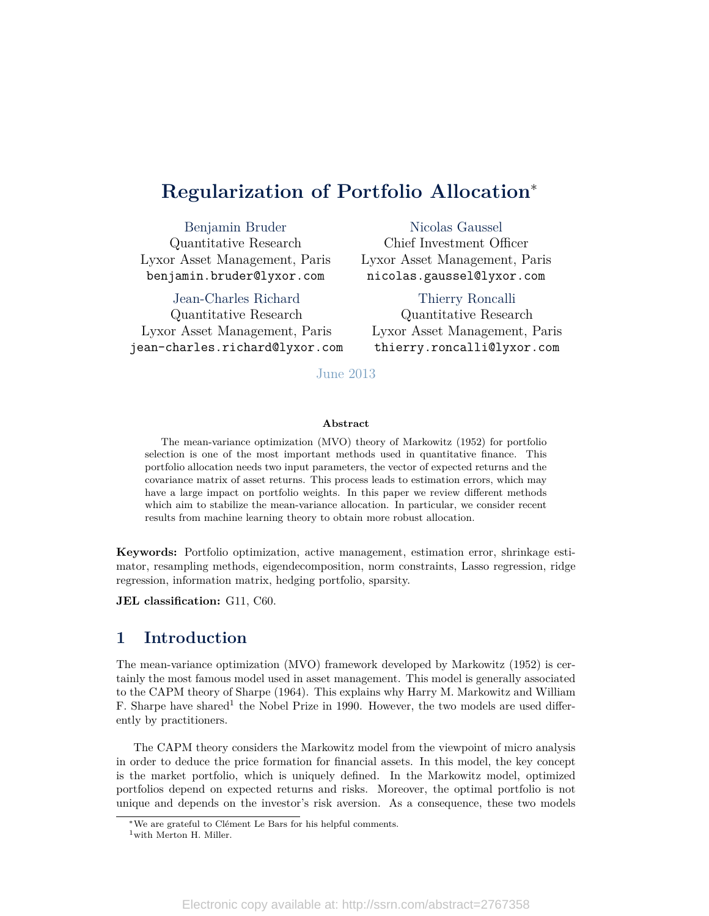# **Regularization of Portfolio Allocation**<sup>∗</sup>

Benjamin Bruder Quantitative Research Lyxor Asset Management, Paris benjamin.bruder@lyxor.com

Jean-Charles Richard

Quantitative Research Lyxor Asset Management, Paris jean-charles.richard@lyxor.com

Nicolas Gaussel Chief Investment Officer Lyxor Asset Management, Paris nicolas.gaussel@lyxor.com

Thierry Roncalli Quantitative Research Lyxor Asset Management, Paris thierry.roncalli@lyxor.com

#### June 2013

#### **Abstract**

The mean-variance optimization (MVO) theory of Markowitz (1952) for portfolio selection is one of the most important methods used in quantitative finance. This portfolio allocation needs two input parameters, the vector of expected returns and the covariance matrix of asset returns. This process leads to estimation errors, which may have a large impact on portfolio weights. In this paper we review different methods which aim to stabilize the mean-variance allocation. In particular, we consider recent results from machine learning theory to obtain more robust allocation.

**Keywords:** Portfolio optimization, active management, estimation error, shrinkage estimator, resampling methods, eigendecomposition, norm constraints, Lasso regression, ridge regression, information matrix, hedging portfolio, sparsity.

**JEL** classification: G11, C60.

# **1 Introduction**

The mean-variance optimization (MVO) framework developed by Markowitz (1952) is certainly the most famous model used in asset management. This model is generally associated to the CAPM theory of Sharpe (1964). This explains why Harry M. Markowitz and William F. Sharpe have shared<sup>[1](#page-0-0)</sup> the Nobel Prize in 1990. However, the two models are used differently by practitioners.

The CAPM theory considers the Markowitz model from the viewpoint of micro analysis in order to deduce the price formation for financial assets. In this model, the key concept is the market portfolio, which is uniquely defined. In the Markowitz model, optimized portfolios depend on expected returns and risks. Moreover, the optimal portfolio is not unique and depends on the investor's risk aversion. As a consequence, these two models

<sup>∗</sup>We are grateful to Clément Le Bars for his helpful comments.

<span id="page-0-0"></span><sup>&</sup>lt;sup>1</sup>with Merton H. Miller.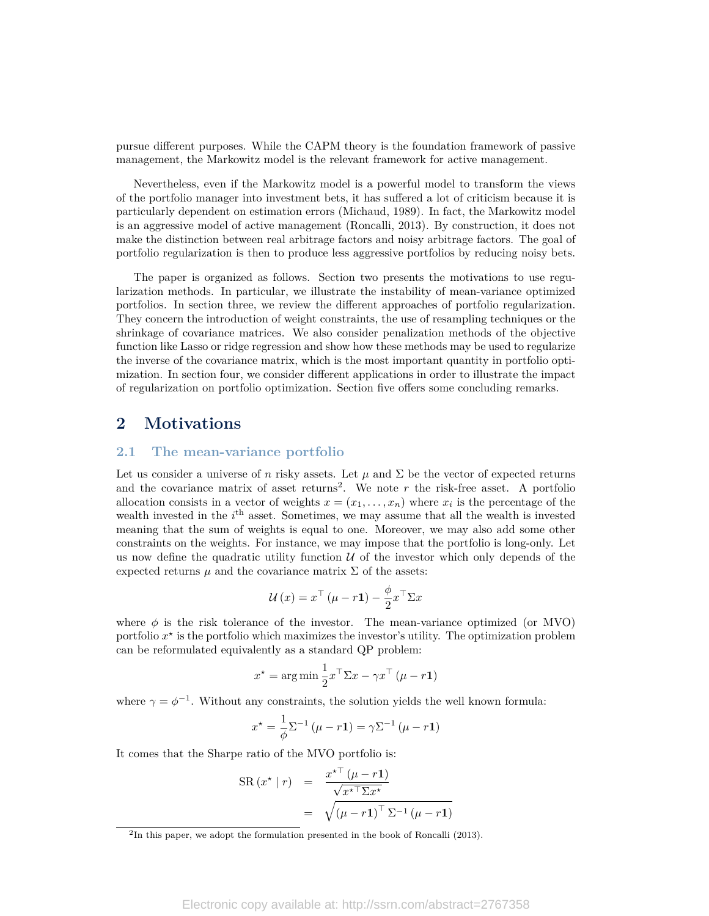pursue different purposes. While the CAPM theory is the foundation framework of passive management, the Markowitz model is the relevant framework for active management.

Nevertheless, even if the Markowitz model is a powerful model to transform the views of the portfolio manager into investment bets, it has suffered a lot of criticism because it is particularly dependent on estimation errors (Michaud, 1989). In fact, the Markowitz model is an aggressive model of active management (Roncalli, 2013). By construction, it does not make the distinction between real arbitrage factors and noisy arbitrage factors. The goal of portfolio regularization is then to produce less aggressive portfolios by reducing noisy bets.

The paper is organized as follows. Section two presents the motivations to use regularization methods. In particular, we illustrate the instability of mean-variance optimized portfolios. In section three, we review the different approaches of portfolio regularization. They concern the introduction of weight constraints, the use of resampling techniques or the shrinkage of covariance matrices. We also consider penalization methods of the objective function like Lasso or ridge regression and show how these methods may be used to regularize the inverse of the covariance matrix, which is the most important quantity in portfolio optimization. In section four, we consider different applications in order to illustrate the impact of regularization on portfolio optimization. Section five offers some concluding remarks.

### **2 Motivations**

### **2.1 The mean-variance portfolio**

Let us consider a universe of *n* risky assets. Let  $\mu$  and  $\Sigma$  be the vector of expected returns and the covariance matrix of asset returns<sup>[2](#page-1-0)</sup>. We note  $r$  the risk-free asset. A portfolio allocation consists in a vector of weights  $x = (x_1, \ldots, x_n)$  where  $x_i$  is the percentage of the wealth invested in the *i*<sup>th</sup> asset. Sometimes, we may assume that all the wealth is invested meaning that the sum of weights is equal to one. Moreover, we may also add some other constraints on the weights. For instance, we may impose that the portfolio is long-only. Let us now define the quadratic utility function  $U$  of the investor which only depends of the expected returns  $\mu$  and the covariance matrix  $\Sigma$  of the assets:

$$
\mathcal{U}\left(x\right) = x^{\top}\left(\mu - r\mathbf{1}\right) - \frac{\phi}{2}x^{\top}\Sigma x
$$

where  $\phi$  is the risk tolerance of the investor. The mean-variance optimized (or MVO) portfolio  $x^*$  is the portfolio which maximizes the investor's utility. The optimization problem can be reformulated equivalently as a standard QP problem:

$$
x^* = \arg\min \frac{1}{2} x^\top \Sigma x - \gamma x^\top \left(\mu - r\mathbf{1}\right)
$$

where  $\gamma = \phi^{-1}$ . Without any constraints, the solution yields the well known formula:

$$
x^* = \frac{1}{\phi} \Sigma^{-1} (\mu - r\mathbf{1}) = \gamma \Sigma^{-1} (\mu - r\mathbf{1})
$$

It comes that the Sharpe ratio of the MVO portfolio is:

$$
SR(x^* | r) = \frac{x^{*T} (\mu - r\mathbf{1})}{\sqrt{x^{*T} \Sigma x^*}}
$$

$$
= \sqrt{(\mu - r\mathbf{1})^T \Sigma^{-1} (\mu - r\mathbf{1})}
$$

<span id="page-1-0"></span><sup>&</sup>lt;sup>2</sup>In this paper, we adopt the formulation presented in the book of Roncalli (2013).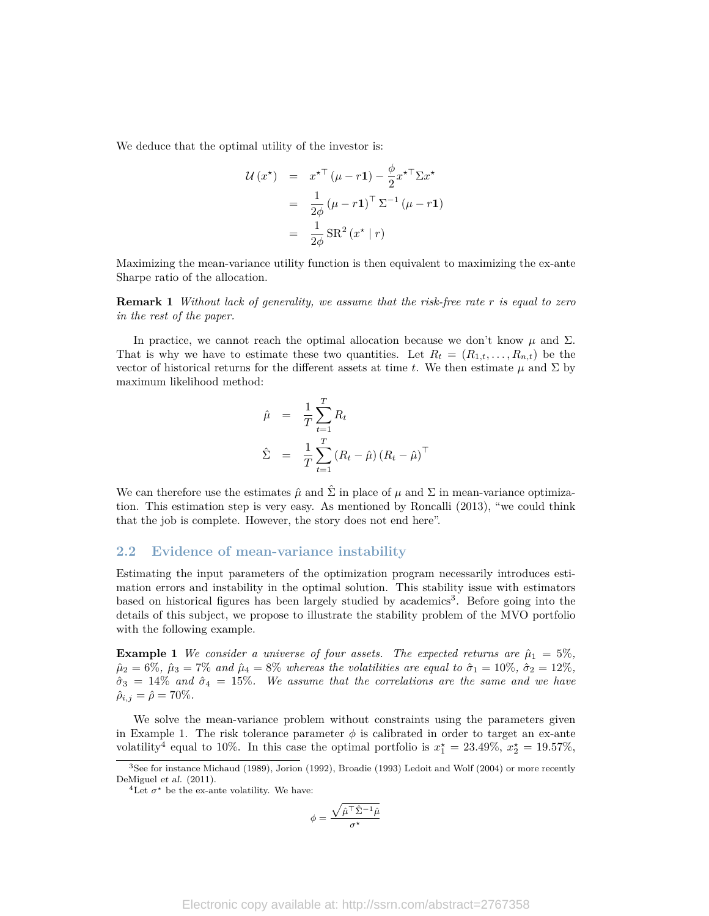We deduce that the optimal utility of the investor is:

$$
\mathcal{U}(x^*) = x^{*T} (\mu - r\mathbf{1}) - \frac{\phi}{2} x^{*T} \Sigma x^*
$$

$$
= \frac{1}{2\phi} (\mu - r\mathbf{1})^T \Sigma^{-1} (\mu - r\mathbf{1})
$$

$$
= \frac{1}{2\phi} \text{SR}^2 (x^* | r)
$$

Maximizing the mean-variance utility function is then equivalent to maximizing the ex-ante Sharpe ratio of the allocation.

**Remark 1** *Without lack of generality, we assume that the risk-free rate r is equal to zero in the rest of the paper.*

In practice, we cannot reach the optimal allocation because we don't know  $\mu$  and  $\Sigma$ . That is why we have to estimate these two quantities. Let  $R_t = (R_{1,t}, \ldots, R_{n,t})$  be the vector of historical returns for the different assets at time *t*. We then estimate  $\mu$  and  $\Sigma$  by maximum likelihood method:

$$
\hat{\mu} = \frac{1}{T} \sum_{t=1}^{T} R_t
$$
\n
$$
\hat{\Sigma} = \frac{1}{T} \sum_{t=1}^{T} (R_t - \hat{\mu}) (R_t - \hat{\mu})^{\top}
$$

We can therefore use the estimates  $\hat{\mu}$  and  $\hat{\Sigma}$  in place of  $\mu$  and  $\Sigma$  in mean-variance optimization. This estimation step is very easy. As mentioned by Roncalli (2013), "we could think that the job is complete. However, the story does not end here".

#### **2.2 Evidence of mean-variance instability**

Estimating the input parameters of the optimization program necessarily introduces estimation errors and instability in the optimal solution. This stability issue with estimators based on historical figures has been largely studied by academics<sup>[3](#page-2-0)</sup>. Before going into the details of this subject, we propose to illustrate the stability problem of the MVO portfolio with the following example.

<span id="page-2-1"></span>**Example 1** *We consider a universe of four assets. The expected returns are*  $\hat{\mu}_1 = 5\%$ ,  $\hat{\mu}_2 = 6\%, \ \hat{\mu}_3 = 7\%$  *and*  $\hat{\mu}_4 = 8\%$  *whereas the volatilities are equal to*  $\hat{\sigma}_1 = 10\%, \ \hat{\sigma}_2 = 12\%,$  $\hat{\sigma}_3 = 14\%$  and  $\hat{\sigma}_4 = 15\%$ . We assume that the correlations are the same and we have  $\hat{\rho}_{i,j} = \hat{\rho} = 70\%.$ 

We solve the mean-variance problem without constraints using the parameters given in Example [1.](#page-2-1) The risk tolerance parameter  $\phi$  is calibrated in order to target an ex-ante volatility<sup>[4](#page-2-2)</sup> equal to 10%. In this case the optimal portfolio is  $x_1^* = 23.49\%, x_2^* = 19.57\%,$ 

$$
\phi = \frac{\sqrt{\hat{\mu}^{\top} \hat{\Sigma}^{-1} \hat{\mu}}}{\sigma^{\star}}
$$

<span id="page-2-0"></span><sup>&</sup>lt;sup>3</sup>See for instance Michaud (1989), Jorion (1992), Broadie (1993) Ledoit and Wolf (2004) or more recently DeMiguel et al. (2011).

<span id="page-2-2"></span><sup>&</sup>lt;sup>4</sup>Let  $\sigma^*$  be the ex-ante volatility. We have: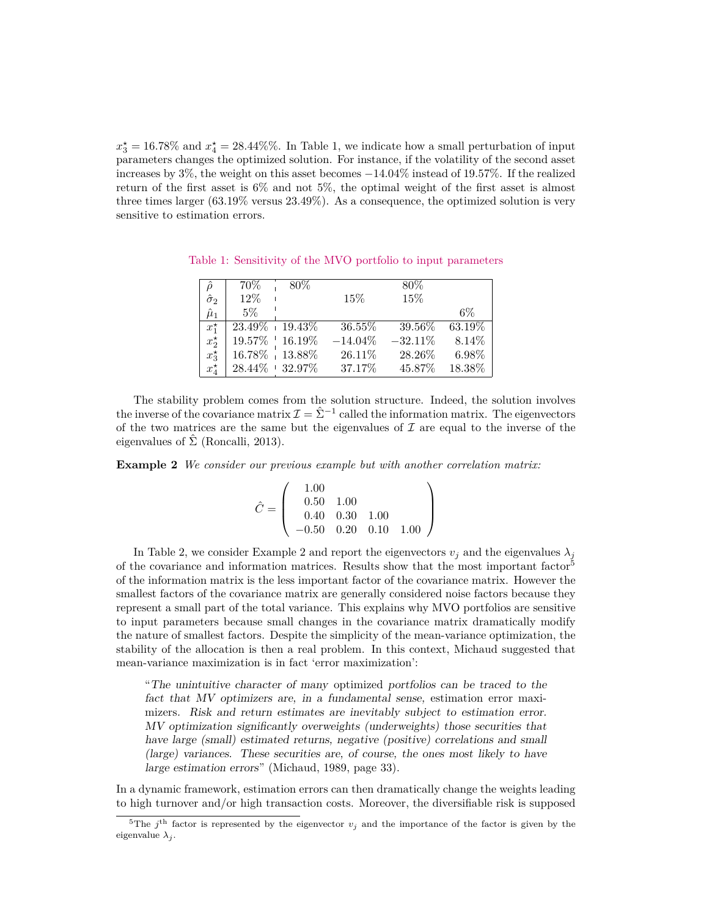$x_3^* = 16.78\%$  and  $x_4^* = 28.44\%$ %. In Table [1,](#page-3-0) we indicate how a small perturbation of input parameters changes the optimized solution. For instance, if the volatility of the second asset increases by 3%, the weight on this asset becomes −14*.*04% instead of 19*.*57%. If the realized return of the first asset is 6% and not 5%, the optimal weight of the first asset is almost three times larger (63*.*19% versus 23*.*49%). As a consequence, the optimized solution is very sensitive to estimation errors.

<span id="page-3-0"></span>

| ô                | 70%                 | $80\%$ |            | $80\%$     |        |
|------------------|---------------------|--------|------------|------------|--------|
| $\hat{\sigma}_2$ | 12\%                |        | $15\%$     | 15%        |        |
| $\hat{\mu}_1$    | 5%                  |        |            |            | $6\%$  |
| $x_1^*$          | $23.49\% + 19.43\%$ |        | 36.55%     | 39.56%     | 63.19% |
| $x_2^{\star}$    | $19.57\%$   16.19%  |        | $-14.04\%$ | $-32.11\%$ | 8.14\% |
| $x_3^{\star}$    | 16.78%   13.88%     |        | 26.11\%    | 28.26%     | 6.98%  |
| $x_4^{\star}$    | $28.44\% + 32.97\%$ |        | 37.17%     | 45.87%     | 18.38% |

Table 1: Sensitivity of the MVO portfolio to input parameters

The stability problem comes from the solution structure. Indeed, the solution involves the inverse of the covariance matrix  $\mathcal{I} = \hat{\Sigma}^{-1}$  called the information matrix. The eigenvectors of the two matrices are the same but the eigenvalues of  $\mathcal I$  are equal to the inverse of the eigenvalues of  $\hat{\Sigma}$  (Roncalli, 2013).

<span id="page-3-1"></span>**Example 2** *We consider our previous example but with another correlation matrix:*

$$
\hat{C} = \left(\begin{array}{ccc} 1.00 \\ 0.50 & 1.00 \\ 0.40 & 0.30 & 1.00 \\ -0.50 & 0.20 & 0.10 & 1.00 \end{array}\right)
$$

In Table [2,](#page-4-0) we consider Example [2](#page-3-1) and report the eigenvectors  $v_j$  and the eigenvalues  $\lambda_j$ of the covariance and information matrices. Results show that the most important factor[5](#page-3-2) of the information matrix is the less important factor of the covariance matrix. However the smallest factors of the covariance matrix are generally considered noise factors because they represent a small part of the total variance. This explains why MVO portfolios are sensitive to input parameters because small changes in the covariance matrix dramatically modify the nature of smallest factors. Despite the simplicity of the mean-variance optimization, the stability of the allocation is then a real problem. In this context, Michaud suggested that mean-variance maximization is in fact 'error maximization':

"The unintuitive character of many optimized portfolios can be traced to the fact that MV optimizers are, in a fundamental sense, estimation error maximizers. Risk and return estimates are inevitably subject to estimation error. MV optimization significantly overweights (underweights) those securities that have large (small) estimated returns, negative (positive) correlations and small (large) variances. These securities are, of course, the ones most likely to have large estimation errors" (Michaud, 1989, page 33).

In a dynamic framework, estimation errors can then dramatically change the weights leading to high turnover and/or high transaction costs. Moreover, the diversifiable risk is supposed

<span id="page-3-2"></span><sup>&</sup>lt;sup>5</sup>The  $j^{\text{th}}$  factor is represented by the eigenvector  $v_j$  and the importance of the factor is given by the eigenvalue  $\lambda_i$ .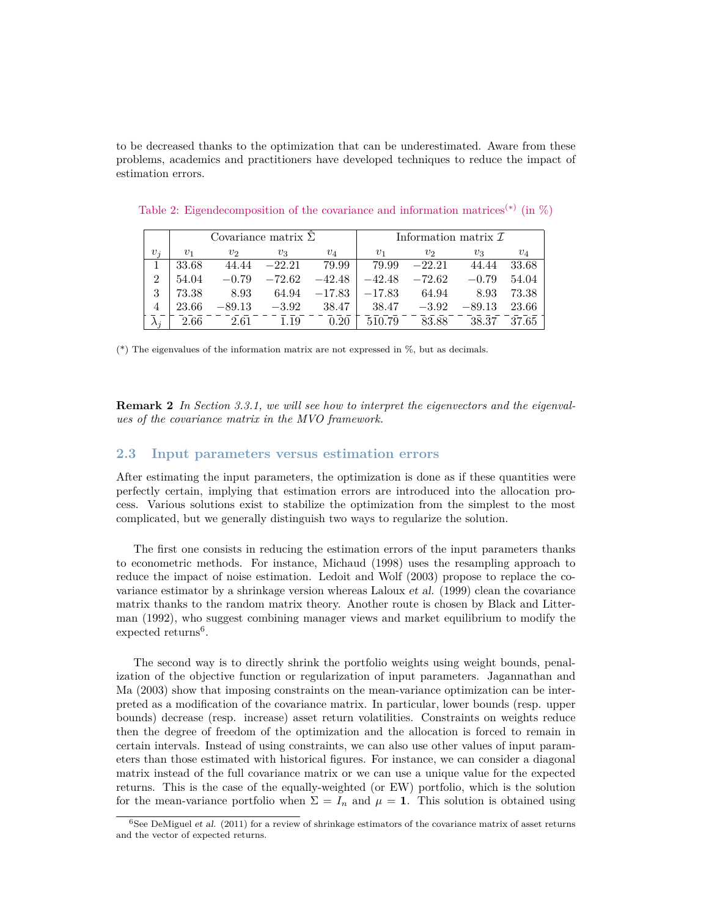to be decreased thanks to the optimization that can be underestimated. Aware from these problems, academics and practitioners have developed techniques to reduce the impact of estimation errors.

|       |       |          | Covariance matrix $\Sigma$ |          | Information matrix $\mathcal I$ |          |          |       |  |  |
|-------|-------|----------|----------------------------|----------|---------------------------------|----------|----------|-------|--|--|
| $v_i$ | $v_1$ | $v_2$    | $v_3$                      | $v_4$    | $v_1$                           | $v_2$    | $v_3$    | $v_4$ |  |  |
|       | 33.68 | 44.44    | $-22.21$                   | 79.99    | 79.99                           | $-22.21$ | 44.44    | 33.68 |  |  |
| 9     | 54.04 | $-0.79$  | $-72.62$                   | $-42.48$ | $-42.48$                        | $-72.62$ | $-0.79$  | 54.04 |  |  |
| 3     | 73.38 | 8.93     | 64.94                      | $-17.83$ | $-17.83$                        | 64.94    | 8.93     | 73.38 |  |  |
|       | 23.66 | $-89.13$ | $-3.92$                    | 38.47    | 38.47                           | $-3.92$  | $-89.13$ | 23.66 |  |  |
|       | 2.66  | 2.61     | 1.19                       | 0.20     | 510.79                          | 83.88    | 38.37    | 37.65 |  |  |

<span id="page-4-0"></span>Table 2: Eigendecomposition of the covariance and information matrices<sup>(\*)</sup> (in  $\%$ )

(\*) The eigenvalues of the information matrix are not expressed in %, but as decimals.

**Remark 2** *In Section [3.3.1,](#page-9-0) we will see how to interpret the eigenvectors and the eigenvalues of the covariance matrix in the MVO framework.*

### **2.3 Input parameters versus estimation errors**

After estimating the input parameters, the optimization is done as if these quantities were perfectly certain, implying that estimation errors are introduced into the allocation process. Various solutions exist to stabilize the optimization from the simplest to the most complicated, but we generally distinguish two ways to regularize the solution.

The first one consists in reducing the estimation errors of the input parameters thanks to econometric methods. For instance, Michaud (1998) uses the resampling approach to reduce the impact of noise estimation. Ledoit and Wolf (2003) propose to replace the covariance estimator by a shrinkage version whereas Laloux et al. (1999) clean the covariance matrix thanks to the random matrix theory. Another route is chosen by Black and Litterman (1992), who suggest combining manager views and market equilibrium to modify the expected returns<sup>[6](#page-4-1)</sup>.

The second way is to directly shrink the portfolio weights using weight bounds, penalization of the objective function or regularization of input parameters. Jagannathan and Ma (2003) show that imposing constraints on the mean-variance optimization can be interpreted as a modification of the covariance matrix. In particular, lower bounds (resp. upper bounds) decrease (resp. increase) asset return volatilities. Constraints on weights reduce then the degree of freedom of the optimization and the allocation is forced to remain in certain intervals. Instead of using constraints, we can also use other values of input parameters than those estimated with historical figures. For instance, we can consider a diagonal matrix instead of the full covariance matrix or we can use a unique value for the expected returns. This is the case of the equally-weighted (or EW) portfolio, which is the solution for the mean-variance portfolio when  $\Sigma = I_n$  and  $\mu = 1$ . This solution is obtained using

<span id="page-4-1"></span> $\frac{6}{6}$ See DeMiguel et al. (2011) for a review of shrinkage estimators of the covariance matrix of asset returns and the vector of expected returns.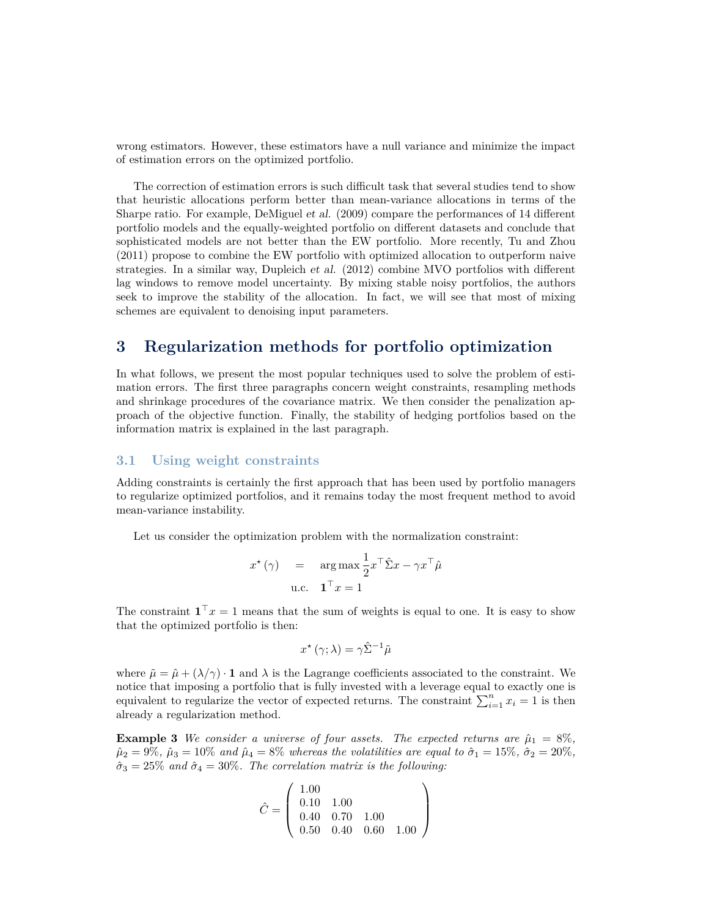wrong estimators. However, these estimators have a null variance and minimize the impact of estimation errors on the optimized portfolio.

The correction of estimation errors is such difficult task that several studies tend to show that heuristic allocations perform better than mean-variance allocations in terms of the Sharpe ratio. For example, DeMiguel et al. (2009) compare the performances of 14 different portfolio models and the equally-weighted portfolio on different datasets and conclude that sophisticated models are not better than the EW portfolio. More recently, Tu and Zhou (2011) propose to combine the EW portfolio with optimized allocation to outperform naive strategies. In a similar way, Dupleich et al. (2012) combine MVO portfolios with different lag windows to remove model uncertainty. By mixing stable noisy portfolios, the authors seek to improve the stability of the allocation. In fact, we will see that most of mixing schemes are equivalent to denoising input parameters.

### **3 Regularization methods for portfolio optimization**

In what follows, we present the most popular techniques used to solve the problem of estimation errors. The first three paragraphs concern weight constraints, resampling methods and shrinkage procedures of the covariance matrix. We then consider the penalization approach of the objective function. Finally, the stability of hedging portfolios based on the information matrix is explained in the last paragraph.

### **3.1 Using weight constraints**

Adding constraints is certainly the first approach that has been used by portfolio managers to regularize optimized portfolios, and it remains today the most frequent method to avoid mean-variance instability.

Let us consider the optimization problem with the normalization constraint:

$$
x^{\star}(\gamma) = \arg \max \frac{1}{2} x^{\top} \hat{\Sigma} x - \gamma x^{\top} \hat{\mu}
$$
  
u.c.  $\mathbf{1}^{\top} x = 1$ 

The constraint  $\mathbf{1}^\top x = 1$  means that the sum of weights is equal to one. It is easy to show that the optimized portfolio is then:

$$
x^{\star}(\gamma;\lambda) = \gamma \hat{\Sigma}^{-1} \tilde{\mu}
$$

where  $\tilde{\mu} = \hat{\mu} + (\lambda/\gamma) \cdot \mathbf{1}$  and  $\lambda$  is the Lagrange coefficients associated to the constraint. We notice that imposing a portfolio that is fully invested with a leverage equal to exactly one is equivalent to regularize the vector of expected returns. The constraint  $\sum_{i=1}^{n} x_i = 1$  is then already a regularization method.

**Example 3** *We consider a universe of four assets. The expected returns are*  $\hat{\mu}_1 = 8\%$ ,  $\hat{\mu}_2 = 9\%, \ \hat{\mu}_3 = 10\%$  *and*  $\hat{\mu}_4 = 8\%$  *whereas the volatilities are equal to*  $\hat{\sigma}_1 = 15\%, \ \hat{\sigma}_2 = 20\%$ ,  $\hat{\sigma}_3 = 25\%$  *and*  $\hat{\sigma}_4 = 30\%.$  *The correlation matrix is the following:* 

$$
\hat{C} = \left(\begin{array}{ccc} 1.00 \\ 0.10 & 1.00 \\ 0.40 & 0.70 & 1.00 \\ 0.50 & 0.40 & 0.60 & 1.00 \end{array}\right)
$$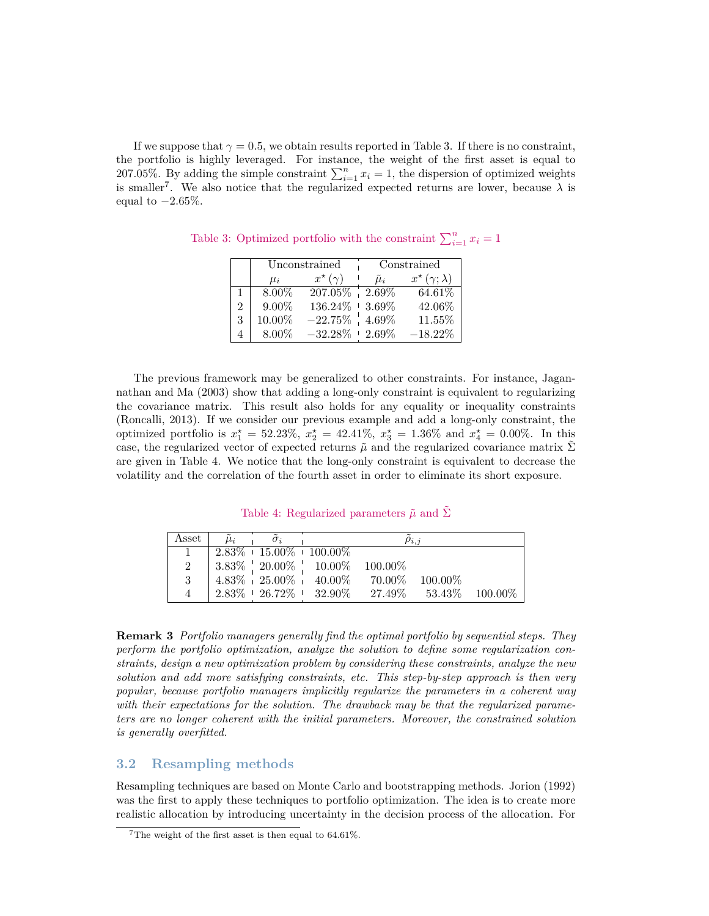If we suppose that  $\gamma = 0.5$ , we obtain results reported in Table [3.](#page-6-0) If there is no constraint, the portfolio is highly leveraged. For instance, the weight of the first asset is equal to 207.05%. By adding the simple constraint  $\sum_{i=1}^{n} x_i = 1$ , the dispersion of optimized weights is smaller<sup>[7](#page-6-1)</sup>. We also notice that the regularized expected returns are lower, because  $\lambda$  is equal to −2*.*65%.

<span id="page-6-0"></span>

|                |          | Unconstrained       | Constrained     |                             |  |  |
|----------------|----------|---------------------|-----------------|-----------------------------|--|--|
|                | $\mu_i$  | $x^{\star}(\gamma)$ | $\tilde{\mu}_i$ | $x^{\star}(\gamma;\lambda)$ |  |  |
|                | $8.00\%$ | 207.05%             | $2.69\%$        | 64.61%                      |  |  |
| $\mathfrak{D}$ | $9.00\%$ | 136.24%             | $+3.69\%$       | 42.06%                      |  |  |
| 3              | 10.00%   | $-22.75\%$          | $4.69\%$        | 11.55%                      |  |  |
|                | $8.00\%$ | $-32.28\% + 2.69\%$ |                 | $-18.22%$                   |  |  |

Table 3: Optimized portfolio with the constraint  $\sum_{i=1}^{n} x_i = 1$ 

The previous framework may be generalized to other constraints. For instance, Jagannathan and Ma (2003) show that adding a long-only constraint is equivalent to regularizing the covariance matrix. This result also holds for any equality or inequality constraints (Roncalli, 2013). If we consider our previous example and add a long-only constraint, the optimized portfolio is  $x_1^* = 52.23\%$ ,  $x_2^* = 42.41\%$ ,  $x_3^* = 1.36\%$  and  $x_4^* = 0.00\%$ . In this case, the regularized vector of expected returns  $\tilde{\mu}$  and the regularized covariance matrix  $\tilde{\Sigma}$ are given in Table [4.](#page-6-2) We notice that the long-only constraint is equivalent to decrease the volatility and the correlation of the fourth asset in order to eliminate its short exposure.

<span id="page-6-2"></span>Table 4: Regularized parameters  $\tilde{\mu}$  and  $\tilde{\Sigma}$ 

| Asset | $\sigma$ : |                                                            | $\rho_{i,j}$ |                      |  |
|-------|------------|------------------------------------------------------------|--------------|----------------------|--|
|       |            | $\mid 2.83\% + 15.00\% + 100.00\%$                         |              |                      |  |
| 2     |            | $3.83\%$ $\frac{1}{2}$ 20.00% $\frac{1}{2}$ 10.00% 100.00% |              |                      |  |
| 3     |            | $4.83\%$ $+ 25.00\%$ $+ 40.00\%$ 70.00\%                   |              | 100.00%              |  |
| 4     |            | $2.83\% + 26.72\% + 32.90\% - 27.49\%$                     |              | $53.43\%$ $100.00\%$ |  |

**Remark 3** *Portfolio managers generally find the optimal portfolio by sequential steps. They perform the portfolio optimization, analyze the solution to define some regularization constraints, design a new optimization problem by considering these constraints, analyze the new solution and add more satisfying constraints, etc. This step-by-step approach is then very popular, because portfolio managers implicitly regularize the parameters in a coherent way with their expectations for the solution. The drawback may be that the regularized parameters are no longer coherent with the initial parameters. Moreover, the constrained solution is generally overfitted.*

### **3.2 Resampling methods**

Resampling techniques are based on Monte Carlo and bootstrapping methods. Jorion (1992) was the first to apply these techniques to portfolio optimization. The idea is to create more realistic allocation by introducing uncertainty in the decision process of the allocation. For

<span id="page-6-1"></span><sup>7</sup>The weight of the first asset is then equal to 64*.*61%.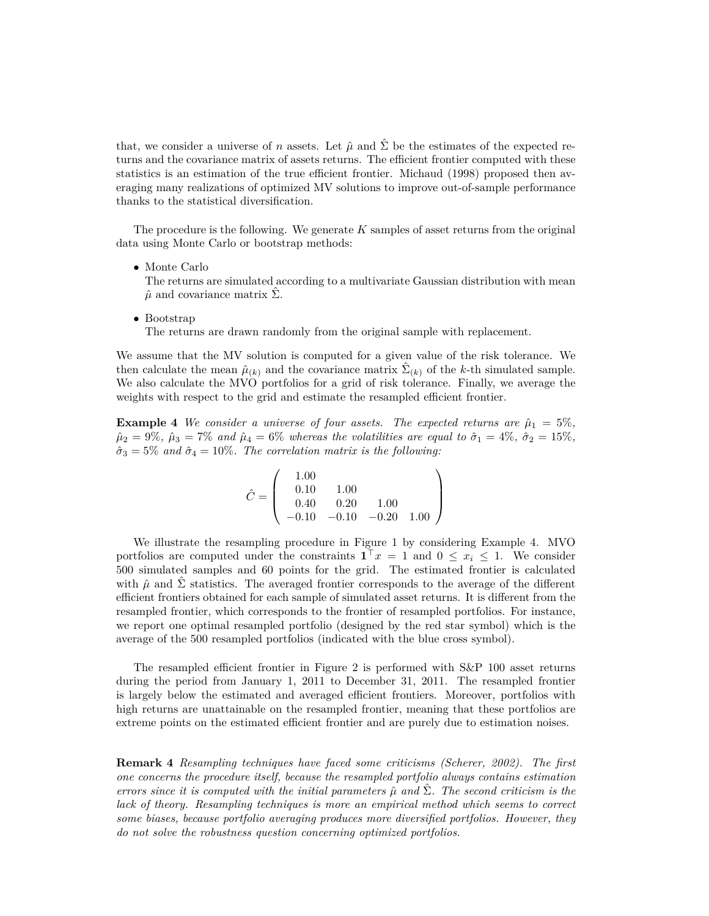that, we consider a universe of *n* assets. Let  $\hat{\mu}$  and  $\hat{\Sigma}$  be the estimates of the expected returns and the covariance matrix of assets returns. The efficient frontier computed with these statistics is an estimation of the true efficient frontier. Michaud (1998) proposed then averaging many realizations of optimized MV solutions to improve out-of-sample performance thanks to the statistical diversification.

The procedure is the following. We generate *K* samples of asset returns from the original data using Monte Carlo or bootstrap methods:

• Monte Carlo

The returns are simulated according to a multivariate Gaussian distribution with mean  $\hat{\mu}$  and covariance matrix  $\Sigma$ .

• Bootstrap

The returns are drawn randomly from the original sample with replacement.

We assume that the MV solution is computed for a given value of the risk tolerance. We then calculate the mean  $\hat{\mu}_{(k)}$  and the covariance matrix  $\hat{\Sigma}_{(k)}$  of the *k*-th simulated sample. We also calculate the MVO portfolios for a grid of risk tolerance. Finally, we average the weights with respect to the grid and estimate the resampled efficient frontier.

<span id="page-7-0"></span>**Example 4** *We consider a universe of four assets. The expected returns are*  $\hat{\mu}_1 = 5\%$ ,  $\hat{\mu}_2 = 9\%$ ,  $\hat{\mu}_3 = 7\%$  *and*  $\hat{\mu}_4 = 6\%$  *whereas the volatilities are equal to*  $\hat{\sigma}_1 = 4\%$ ,  $\hat{\sigma}_2 = 15\%$ ,  $\hat{\sigma}_3 = 5\%$  *and*  $\hat{\sigma}_4 = 10\%.$  *The correlation matrix is the following:* 

$$
\hat{C} = \left(\begin{array}{ccc} 1.00 & 1.00 \\ 0.10 & 1.00 \\ 0.40 & 0.20 & 1.00 \\ -0.10 & -0.10 & -0.20 & 1.00 \end{array}\right)
$$

We illustrate the resampling procedure in Figure [1](#page-8-0) by considering Example [4.](#page-7-0) MVO portfolios are computed under the constraints  $\mathbf{1}^\top x = 1$  and  $0 \le x_i \le 1$ . We consider 500 simulated samples and 60 points for the grid. The estimated frontier is calculated with  $\hat{\mu}$  and  $\hat{\Sigma}$  statistics. The averaged frontier corresponds to the average of the different efficient frontiers obtained for each sample of simulated asset returns. It is different from the resampled frontier, which corresponds to the frontier of resampled portfolios. For instance, we report one optimal resampled portfolio (designed by the red star symbol) which is the average of the 500 resampled portfolios (indicated with the blue cross symbol).

The resampled efficient frontier in Figure [2](#page-8-1) is performed with S&P 100 asset returns during the period from January 1, 2011 to December 31, 2011. The resampled frontier is largely below the estimated and averaged efficient frontiers. Moreover, portfolios with high returns are unattainable on the resampled frontier, meaning that these portfolios are extreme points on the estimated efficient frontier and are purely due to estimation noises.

**Remark 4** *Resampling techniques have faced some criticisms (Scherer, 2002). The first one concerns the procedure itself, because the resampled portfolio always contains estimation errors since it is computed with the initial parameters*  $\hat{\mu}$  and  $\Sigma$ . The second criticism is the *lack of theory. Resampling techniques is more an empirical method which seems to correct some biases, because portfolio averaging produces more diversified portfolios. However, they do not solve the robustness question concerning optimized portfolios.*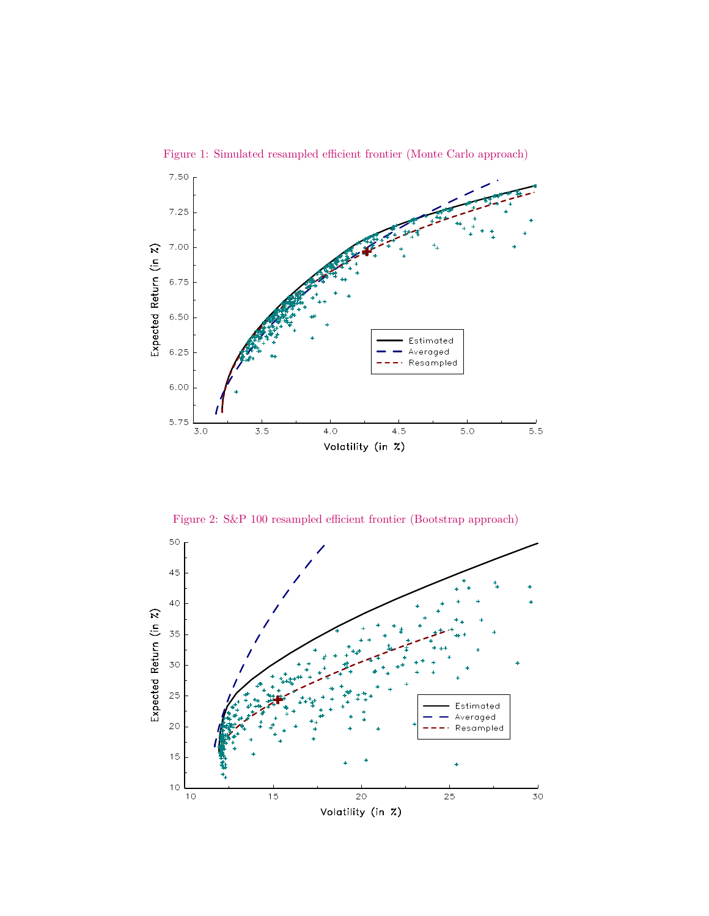

<span id="page-8-0"></span>Figure 1: Simulated resampled efficient frontier (Monte Carlo approach)

<span id="page-8-1"></span>Figure 2: S&P 100 resampled efficient frontier (Bootstrap approach)

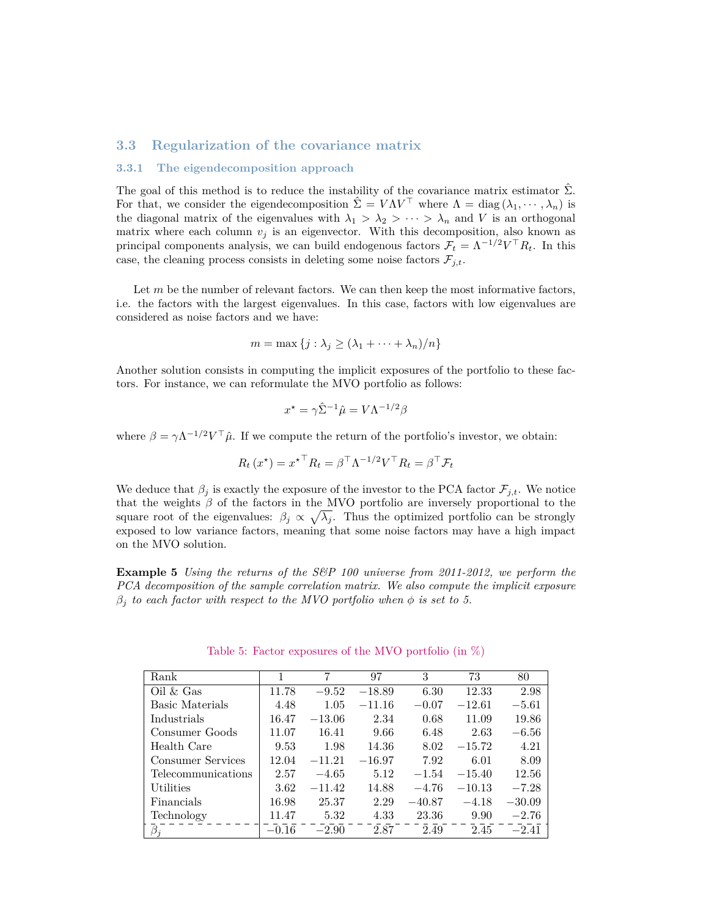### **3.3 Regularization of the covariance matrix**

#### <span id="page-9-0"></span>**3.3.1 The eigendecomposition approach**

The goal of this method is to reduce the instability of the covariance matrix estimator  $\hat{\Sigma}$ . For that, we consider the eigendecomposition  $\hat{\Sigma} = V \Lambda V^{\top}$  where  $\Lambda = \text{diag}(\lambda_1, \dots, \lambda_n)$  is the diagonal matrix of the eigenvalues with  $\lambda_1 > \lambda_2 > \cdots > \lambda_n$  and *V* is an orthogonal matrix where each column  $v_j$  is an eigenvector. With this decomposition, also known as principal components analysis, we can build endogenous factors  $\mathcal{F}_t = \Lambda^{-1/2} V^\top R_t$ . In this case, the cleaning process consists in deleting some noise factors  $\mathcal{F}_{j,t}$ .

Let *m* be the number of relevant factors. We can then keep the most informative factors, i.e. the factors with the largest eigenvalues. In this case, factors with low eigenvalues are considered as noise factors and we have:

$$
m = \max \{ j : \lambda_j \ge (\lambda_1 + \dots + \lambda_n)/n \}
$$

Another solution consists in computing the implicit exposures of the portfolio to these factors. For instance, we can reformulate the MVO portfolio as follows:

$$
x^* = \gamma \hat{\Sigma}^{-1} \hat{\mu} = V \Lambda^{-1/2} \beta
$$

where  $\beta = \gamma \Lambda^{-1/2} V^{\top} \hat{\mu}$ . If we compute the return of the portfolio's investor, we obtain:

$$
R_t(x^*) = x^{* \top} R_t = \beta^\top \Lambda^{-1/2} V^\top R_t = \beta^\top \mathcal{F}_t
$$

We deduce that  $\beta_i$  is exactly the exposure of the investor to the PCA factor  $\mathcal{F}_{i,t}$ . We notice that the weights *β* of the factors in the MVO portfolio are inversely proportional to the square root of the eigenvalues:  $\beta_j \propto \sqrt{\lambda_j}$ . Thus the optimized portfolio can be strongly exposed to low variance factors, meaning that some noise factors may have a high impact on the MVO solution.

**Example 5** *Using the returns of the S&P 100 universe from 2011-2012, we perform the PCA decomposition of the sample correlation matrix. We also compute the implicit exposure*  $\beta_i$  *to each factor with respect to the MVO portfolio when*  $\phi$  *is set to 5.* 

| Rank                           |         | 7        | 97       | 3        | 73       | 80       |
|--------------------------------|---------|----------|----------|----------|----------|----------|
| $\mathrm{Oil} \& \mathrm{Gas}$ | 11.78   | $-9.52$  | $-18.89$ | 6.30     | 12.33    | 2.98     |
| Basic Materials                | 4.48    | 1.05     | $-11.16$ | $-0.07$  | $-12.61$ | $-5.61$  |
| Industrials                    | 16.47   | $-13.06$ | 2.34     | 0.68     | 11.09    | 19.86    |
| Consumer Goods                 | 11.07   | 16.41    | 9.66     | 6.48     | 2.63     | $-6.56$  |
| Health Care                    | 9.53    | 1.98     | 14.36    | 8.02     | $-15.72$ | 4.21     |
| Consumer Services              | 12.04   | $-11.21$ | $-16.97$ | 7.92     | 6.01     | 8.09     |
| Telecommunications             | 2.57    | $-4.65$  | 5.12     | $-1.54$  | $-15.40$ | 12.56    |
| Utilities                      | 3.62    | $-11.42$ | 14.88    | $-4.76$  | $-10.13$ | $-7.28$  |
| Financials                     | 16.98   | 25.37    | 2.29     | $-40.87$ | $-4.18$  | $-30.09$ |
| Technology                     | 11.47   | 5.32     | 4.33     | 23.36    | 9.90     | $-2.76$  |
| $\beta_j$                      | $-0.16$ | $-2.90$  | 2.87     | 2.49     | 2.45     | $-2.41$  |

<span id="page-9-1"></span>Table 5: Factor exposures of the MVO portfolio (in %)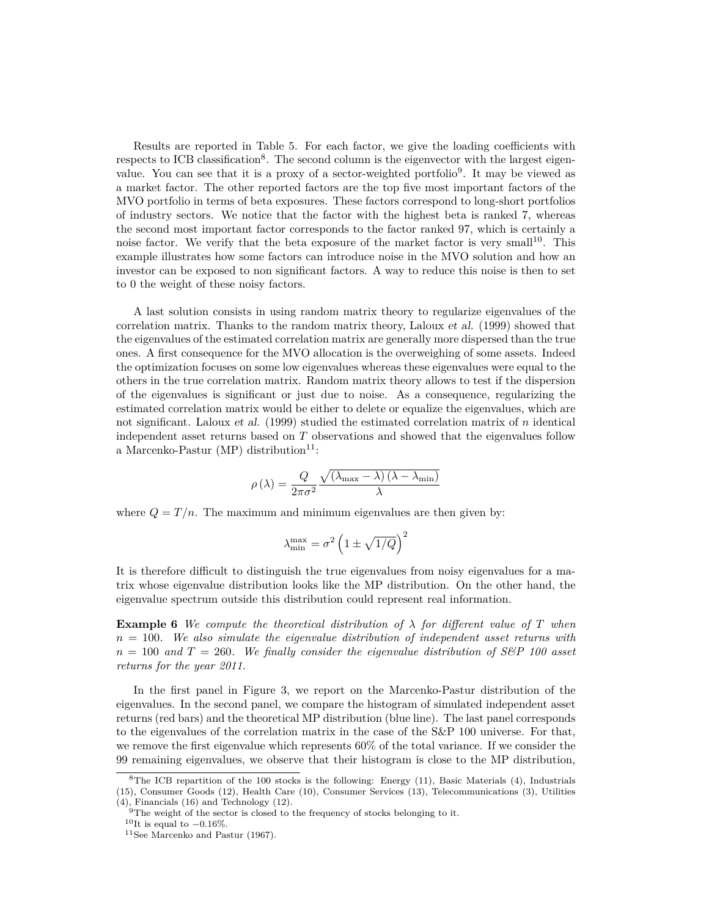Results are reported in Table [5.](#page-9-1) For each factor, we give the loading coefficients with respects to ICB classification<sup>[8](#page-10-0)</sup>. The second column is the eigenvector with the largest eigen-value. You can see that it is a proxy of a sector-weighted portfolio<sup>[9](#page-10-1)</sup>. It may be viewed as a market factor. The other reported factors are the top five most important factors of the MVO portfolio in terms of beta exposures. These factors correspond to long-short portfolios of industry sectors. We notice that the factor with the highest beta is ranked 7, whereas the second most important factor corresponds to the factor ranked 97, which is certainly a noise factor. We verify that the beta exposure of the market factor is very small<sup>[10](#page-10-2)</sup>. This example illustrates how some factors can introduce noise in the MVO solution and how an investor can be exposed to non significant factors. A way to reduce this noise is then to set to 0 the weight of these noisy factors.

A last solution consists in using random matrix theory to regularize eigenvalues of the correlation matrix. Thanks to the random matrix theory, Laloux et al. (1999) showed that the eigenvalues of the estimated correlation matrix are generally more dispersed than the true ones. A first consequence for the MVO allocation is the overweighing of some assets. Indeed the optimization focuses on some low eigenvalues whereas these eigenvalues were equal to the others in the true correlation matrix. Random matrix theory allows to test if the dispersion of the eigenvalues is significant or just due to noise. As a consequence, regularizing the estimated correlation matrix would be either to delete or equalize the eigenvalues, which are not significant. Laloux et al. (1999) studied the estimated correlation matrix of *n* identical independent asset returns based on *T* observations and showed that the eigenvalues follow a Marcenko-Pastur (MP) distribution<sup>[11](#page-10-3)</sup>:

$$
\rho\left(\lambda\right) = \frac{Q}{2\pi\sigma^2} \frac{\sqrt{\left(\lambda_{\max}-\lambda\right)\left(\lambda-\lambda_{\min}\right)}}{\lambda}
$$

where  $Q = T/n$ . The maximum and minimum eigenvalues are then given by:

$$
\lambda_{\min}^{\max} = \sigma^2 \left( 1 \pm \sqrt{1/Q} \right)^2
$$

It is therefore difficult to distinguish the true eigenvalues from noisy eigenvalues for a matrix whose eigenvalue distribution looks like the MP distribution. On the other hand, the eigenvalue spectrum outside this distribution could represent real information.

**Example 6** *We compute the theoretical distribution of*  $\lambda$  *for different value of T when n* = 100*. We also simulate the eigenvalue distribution of independent asset returns with*  $n = 100$  and  $T = 260$ . We finally consider the eigenvalue distribution of S&P 100 asset *returns for the year 2011.*

In the first panel in Figure [3,](#page-11-0) we report on the Marcenko-Pastur distribution of the eigenvalues. In the second panel, we compare the histogram of simulated independent asset returns (red bars) and the theoretical MP distribution (blue line). The last panel corresponds to the eigenvalues of the correlation matrix in the case of the S&P 100 universe. For that, we remove the first eigenvalue which represents 60% of the total variance. If we consider the 99 remaining eigenvalues, we observe that their histogram is close to the MP distribution,

<span id="page-10-0"></span><sup>&</sup>lt;sup>8</sup>The ICB repartition of the 100 stocks is the following: Energy  $(11)$ , Basic Materials  $(4)$ , Industrials (15), Consumer Goods (12), Health Care (10), Consumer Services (13), Telecommunications (3), Utilities (4), Financials (16) and Technology (12).

<span id="page-10-1"></span><sup>&</sup>lt;sup>9</sup>The weight of the sector is closed to the frequency of stocks belonging to it.

<span id="page-10-2"></span><sup>&</sup>lt;sup>10</sup>It is equal to  $-0.16\%$ .

<span id="page-10-3"></span><sup>11</sup>See Marcenko and Pastur (1967).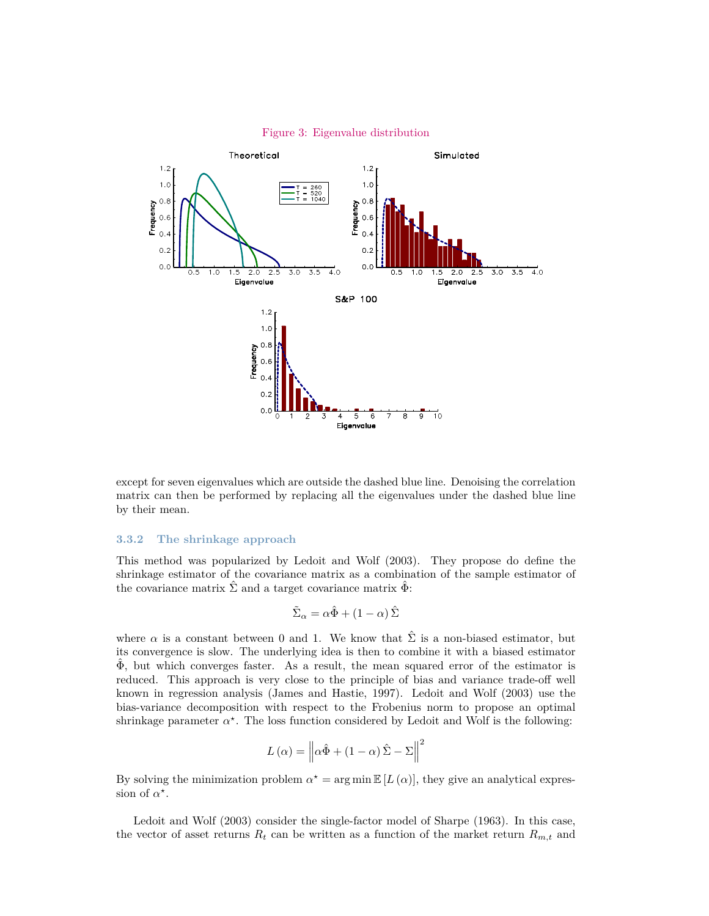

#### <span id="page-11-0"></span>Figure 3: Eigenvalue distribution

except for seven eigenvalues which are outside the dashed blue line. Denoising the correlation matrix can then be performed by replacing all the eigenvalues under the dashed blue line by their mean.

#### **3.3.2 The shrinkage approach**

This method was popularized by Ledoit and Wolf (2003). They propose do define the shrinkage estimator of the covariance matrix as a combination of the sample estimator of the covariance matrix  $\hat{\Sigma}$  and a target covariance matrix  $\hat{\Phi}$ :

$$
\tilde{\Sigma}_{\alpha}=\alpha\hat{\Phi}+\left(1-\alpha\right)\hat{\Sigma}
$$

where  $\alpha$  is a constant between 0 and 1. We know that  $\hat{\Sigma}$  is a non-biased estimator, but its convergence is slow. The underlying idea is then to combine it with a biased estimator  $\Phi$ , but which converges faster. As a result, the mean squared error of the estimator is reduced. This approach is very close to the principle of bias and variance trade-off well known in regression analysis (James and Hastie, 1997). Ledoit and Wolf (2003) use the bias-variance decomposition with respect to the Frobenius norm to propose an optimal shrinkage parameter  $\alpha^*$ . The loss function considered by Ledoit and Wolf is the following:

$$
L(\alpha) = \left\| \alpha \hat{\Phi} + (1 - \alpha) \hat{\Sigma} - \Sigma \right\|^2
$$

By solving the minimization problem  $\alpha^* = \arg \min \mathbb{E} [L(\alpha)]$ , they give an analytical expression of  $\alpha^*$ .

Ledoit and Wolf (2003) consider the single-factor model of Sharpe (1963). In this case, the vector of asset returns  $R_t$  can be written as a function of the market return  $R_{m,t}$  and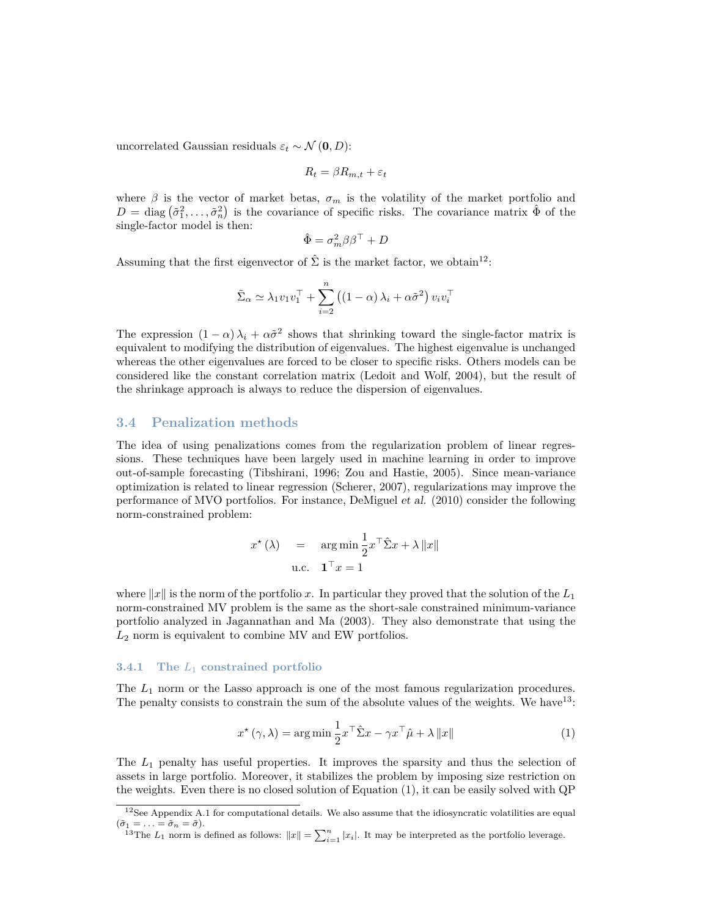uncorrelated Gaussian residuals  $\varepsilon_t \sim \mathcal{N}(\mathbf{0}, D)$ :

$$
R_t = \beta R_{m,t} + \varepsilon_t
$$

where  $\beta$  is the vector of market betas,  $\sigma_m$  is the volatility of the market portfolio and  $D = \text{diag}(\tilde{\sigma}_1^2, \ldots, \tilde{\sigma}_n^2)$  is the covariance of specific risks. The covariance matrix  $\hat{\Phi}$  of the single-factor model is then:

$$
\hat{\Phi} = \sigma_m^2 \beta \beta^\top + D
$$

Assuming that the first eigenvector of  $\hat{\Sigma}$  is the market factor, we obtain<sup>[12](#page-12-0)</sup>:

$$
\tilde{\Sigma}_{\alpha} \simeq \lambda_1 v_1 v_1^{\top} + \sum_{i=2}^{n} \left( (1 - \alpha) \lambda_i + \alpha \tilde{\sigma}^2 \right) v_i v_i^{\top}
$$

The expression  $(1 - \alpha)\lambda_i + \alpha\tilde{\sigma}^2$  shows that shrinking toward the single-factor matrix is equivalent to modifying the distribution of eigenvalues. The highest eigenvalue is unchanged whereas the other eigenvalues are forced to be closer to specific risks. Others models can be considered like the constant correlation matrix (Ledoit and Wolf, 2004), but the result of the shrinkage approach is always to reduce the dispersion of eigenvalues.

### **3.4 Penalization methods**

The idea of using penalizations comes from the regularization problem of linear regressions. These techniques have been largely used in machine learning in order to improve out-of-sample forecasting (Tibshirani, 1996; Zou and Hastie, 2005). Since mean-variance optimization is related to linear regression (Scherer, 2007), regularizations may improve the performance of MVO portfolios. For instance, DeMiguel et al. (2010) consider the following norm-constrained problem:

$$
x^{\star} (\lambda) = \operatorname{arg\,min} \frac{1}{2} x^{\top} \hat{\Sigma} x + \lambda ||x||
$$
  
u.c. 
$$
\mathbf{1}^{\top} x = 1
$$

where  $\|x\|$  is the norm of the portfolio *x*. In particular they proved that the solution of the  $L_1$ norm-constrained MV problem is the same as the short-sale constrained minimum-variance portfolio analyzed in Jagannathan and Ma (2003). They also demonstrate that using the *L*<sup>2</sup> norm is equivalent to combine MV and EW portfolios.

#### **3.4.1 The** *L*<sup>1</sup> **constrained portfolio**

The  $L_1$  norm or the Lasso approach is one of the most famous regularization procedures. The penalty consists to constrain the sum of the absolute values of the weights. We have  $13$ :

<span id="page-12-2"></span>
$$
x^{\star}(\gamma,\lambda) = \arg\min \frac{1}{2} x^{\top} \hat{\Sigma} x - \gamma x^{\top} \hat{\mu} + \lambda \|x\|
$$
 (1)

The *L*<sup>1</sup> penalty has useful properties. It improves the sparsity and thus the selection of assets in large portfolio. Moreover, it stabilizes the problem by imposing size restriction on the weights. Even there is no closed solution of Equation [\(1\)](#page-12-2), it can be easily solved with QP

<span id="page-12-0"></span> $12$ See Appendix [A.1](#page-28-0) for computational details. We also assume that the idiosyncratic volatilities are equal  $(\tilde{\sigma}_1 = \ldots = \tilde{\sigma}_n = \tilde{\sigma}).$ 

<span id="page-12-1"></span><sup>&</sup>lt;sup>13</sup>The  $L_1$  norm is defined as follows:  $||x|| = \sum_{i=1}^n |x_i|$ . It may be interpreted as the portfolio leverage.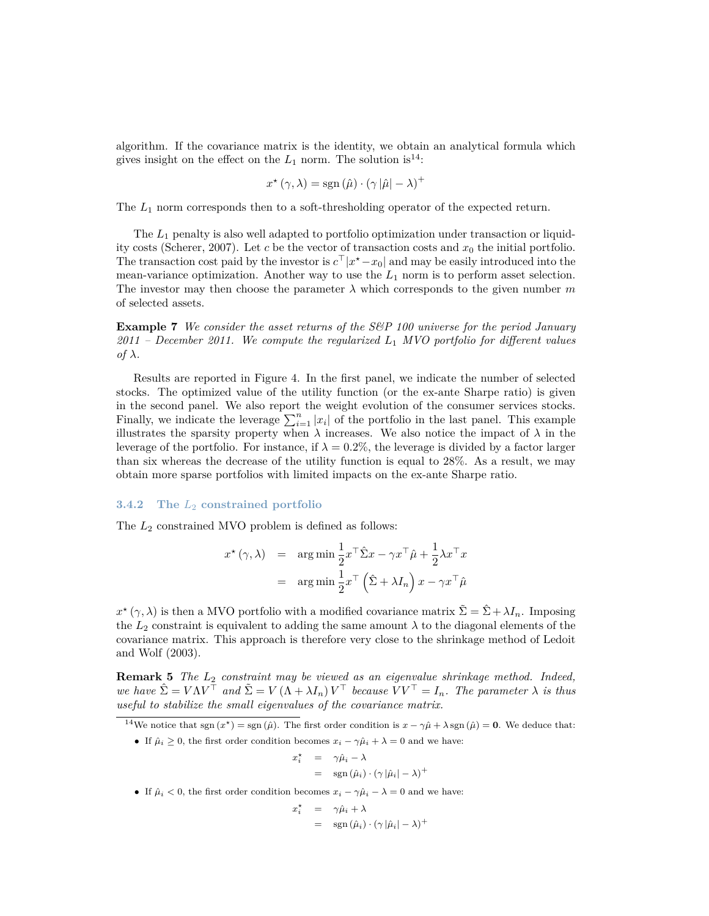algorithm. If the covariance matrix is the identity, we obtain an analytical formula which gives insight on the effect on the  $L_1$  norm. The solution is<sup>[14](#page-13-0)</sup>:

$$
x^{\star}(\gamma,\lambda) = \text{sgn}\left(\hat{\mu}\right) \cdot \left(\gamma |\hat{\mu}| - \lambda\right)^{+}
$$

The  $L_1$  norm corresponds then to a soft-thresholding operator of the expected return.

The *L*<sup>1</sup> penalty is also well adapted to portfolio optimization under transaction or liquidity costs (Scherer, 2007). Let *c* be the vector of transaction costs and *x*<sup>0</sup> the initial portfolio. The transaction cost paid by the investor is  $c^{\top} |x^* - x_0|$  and may be easily introduced into the mean-variance optimization. Another way to use the  $L_1$  norm is to perform asset selection. The investor may then choose the parameter  $\lambda$  which corresponds to the given number m of selected assets.

**Example 7** *We consider the asset returns of the S&P 100 universe for the period January 2011 – December 2011. We compute the regularized L*<sup>1</sup> *MVO portfolio for different values of*  $λ$ *.* 

Results are reported in Figure [4.](#page-14-0) In the first panel, we indicate the number of selected stocks. The optimized value of the utility function (or the ex-ante Sharpe ratio) is given in the second panel. We also report the weight evolution of the consumer services stocks. Finally, we indicate the leverage  $\sum_{i=1}^{n} |x_i|$  of the portfolio in the last panel. This example illustrates the sparsity property when  $\lambda$  increases. We also notice the impact of  $\lambda$  in the leverage of the portfolio. For instance, if  $\lambda = 0.2\%$ , the leverage is divided by a factor larger than six whereas the decrease of the utility function is equal to 28%. As a result, we may obtain more sparse portfolios with limited impacts on the ex-ante Sharpe ratio.

#### **3.4.2 The** *L*<sup>2</sup> **constrained portfolio**

The *L*<sup>2</sup> constrained MVO problem is defined as follows:

$$
x^{\star}(\gamma, \lambda) = \arg \min \frac{1}{2} x^{\top} \hat{\Sigma} x - \gamma x^{\top} \hat{\mu} + \frac{1}{2} \lambda x^{\top} x
$$

$$
= \arg \min \frac{1}{2} x^{\top} (\hat{\Sigma} + \lambda I_n) x - \gamma x^{\top} \hat{\mu}
$$

 $x^*(\gamma, \lambda)$  is then a MVO portfolio with a modified covariance matrix  $\tilde{\Sigma} = \hat{\Sigma} + \lambda I_n$ . Imposing the  $L_2$  constraint is equivalent to adding the same amount  $\lambda$  to the diagonal elements of the covariance matrix. This approach is therefore very close to the shrinkage method of Ledoit and Wolf (2003).

**Remark 5** *The L*<sup>2</sup> *constraint may be viewed as an eigenvalue shrinkage method. Indeed, we have*  $\hat{\Sigma} = V \Lambda V^{\top}$  *and*  $\tilde{\Sigma} = V (\Lambda + \lambda I_n) V^{\top}$  *because*  $\tilde{V} V^{\top} = I_n$ *. The parameter*  $\lambda$  *is thus useful to stabilize the small eigenvalues of the covariance matrix.*

<span id="page-13-0"></span><sup>14</sup>We notice that sgn  $(x^*)$  = sgn  $(\hat{\mu})$ . The first order condition is  $x - \gamma \hat{\mu} + \lambda$  sgn  $(\hat{\mu}) = 0$ . We deduce that:

- If  $\hat{\mu}_i \geq 0$ , the first order condition becomes  $x_i \gamma \hat{\mu}_i + \lambda = 0$  and we have:
	- $x_i^*$  =  $\gamma \hat{\mu}_i \lambda$  $=$  sgn  $(\hat{\mu}_i) \cdot (\gamma |\hat{\mu}_i| - \lambda)^+$
- If  $\hat{\mu}_i < 0$ , the first order condition becomes  $x_i \gamma \hat{\mu}_i \lambda = 0$  and we have:

$$
x_i^* = \gamma \hat{\mu}_i + \lambda
$$
  
= sgn  $(\hat{\mu}_i) \cdot (\gamma |\hat{\mu}_i| - \lambda)^+$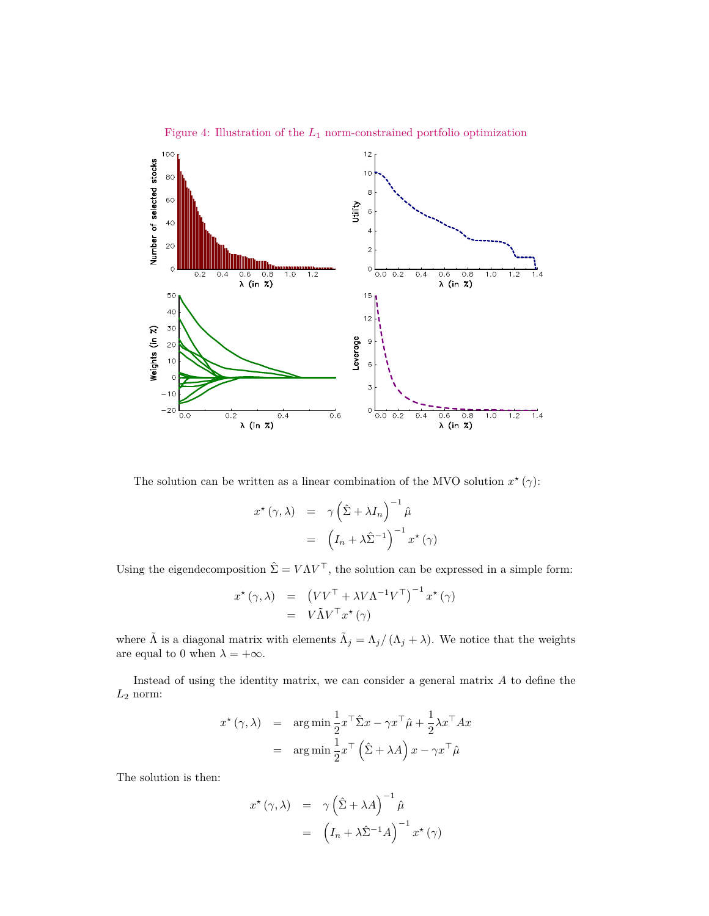

<span id="page-14-0"></span>Figure 4: Illustration of the *L*<sup>1</sup> norm-constrained portfolio optimization

The solution can be written as a linear combination of the MVO solution  $x^*(\gamma)$ :

$$
x^{\star}(\gamma, \lambda) = \gamma \left(\hat{\Sigma} + \lambda I_n\right)^{-1} \hat{\mu}
$$

$$
= \left(I_n + \lambda \hat{\Sigma}^{-1}\right)^{-1} x^{\star}(\gamma)
$$

Using the eigendecomposition  $\hat{\Sigma} = V \Lambda V^{\top}$ , the solution can be expressed in a simple form:

$$
x^{\star}(\gamma,\lambda) = (VV^{\top} + \lambda V\Lambda^{-1}V^{\top})^{-1} x^{\star}(\gamma)
$$
  
=  $V\tilde{\Lambda}V^{\top}x^{\star}(\gamma)$ 

where  $\tilde{\Lambda}$  is a diagonal matrix with elements  $\tilde{\Lambda}_j = \Lambda_j / (\Lambda_j + \lambda)$ . We notice that the weights are equal to 0 when  $\lambda = +\infty$ .

Instead of using the identity matrix, we can consider a general matrix *A* to define the  $L_{\rm 2}$  norm:

$$
x^{\star}(\gamma, \lambda) = \arg \min \frac{1}{2} x^{\top} \hat{\Sigma} x - \gamma x^{\top} \hat{\mu} + \frac{1}{2} \lambda x^{\top} A x
$$

$$
= \arg \min \frac{1}{2} x^{\top} (\hat{\Sigma} + \lambda A) x - \gamma x^{\top} \hat{\mu}
$$

The solution is then:

$$
x^{\star}(\gamma, \lambda) = \gamma \left(\hat{\Sigma} + \lambda A\right)^{-1} \hat{\mu}
$$

$$
= \left(I_n + \lambda \hat{\Sigma}^{-1} A\right)^{-1} x^{\star}(\gamma)
$$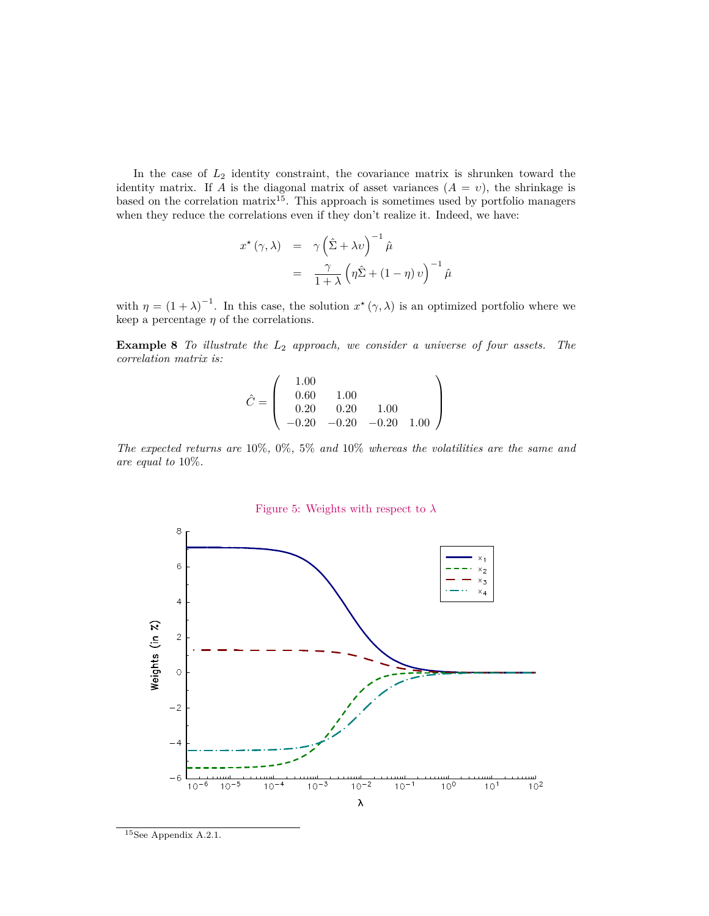In the case of *L*<sup>2</sup> identity constraint, the covariance matrix is shrunken toward the identity matrix. If *A* is the diagonal matrix of asset variances  $(A = v)$ , the shrinkage is based on the correlation matrix<sup>[15](#page-15-0)</sup>. This approach is sometimes used by portfolio managers when they reduce the correlations even if they don't realize it. Indeed, we have:

$$
x^{\star} (\gamma, \lambda) = \gamma \left(\hat{\Sigma} + \lambda v\right)^{-1} \hat{\mu}
$$
  
= 
$$
\frac{\gamma}{1 + \lambda} \left(\eta \hat{\Sigma} + (1 - \eta) v\right)^{-1} \hat{\mu}
$$

with  $\eta = (1 + \lambda)^{-1}$ . In this case, the solution  $x^*(\gamma, \lambda)$  is an optimized portfolio where we keep a percentage  $\eta$  of the correlations.

**Example 8** *To illustrate the L*<sup>2</sup> *approach, we consider a universe of four assets. The correlation matrix is:*

$$
\hat{C} = \left(\begin{array}{ccc} 1.00 & 0.60 & 0.00 \\ 0.60 & 1.00 & 0.20 \\ 0.20 & 0.20 & -0.20 & 1.00 \\ -0.20 & -0.20 & -0.20 & 1.00 \end{array}\right)
$$

*The expected returns are* 10%*,* 0%*,* 5% *and* 10% *whereas the volatilities are the same and are equal to* 10%*.*

<span id="page-15-1"></span>



<span id="page-15-0"></span><sup>15</sup>See Appendix [A.2.1.](#page-28-1)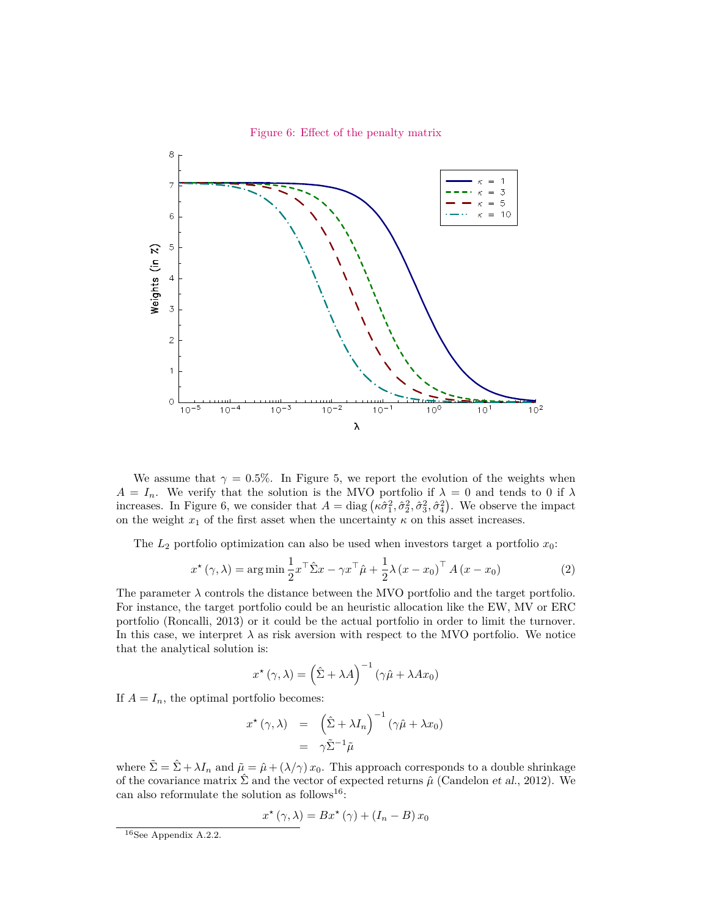<span id="page-16-0"></span>

We assume that  $\gamma = 0.5\%$ . In Figure [5,](#page-15-1) we report the evolution of the weights when  $A = I_n$ . We verify that the solution is the MVO portfolio if  $\lambda = 0$  and tends to 0 if  $\lambda$ increases. In Figure [6,](#page-16-0) we consider that  $A = \text{diag}(\kappa \hat{\sigma}_1^2, \hat{\sigma}_2^2, \hat{\sigma}_3^2, \hat{\sigma}_4^2)$ . We observe the impact on the weight  $x_1$  of the first asset when the uncertainty  $\kappa$  on this asset increases.

The  $L_2$  portfolio optimization can also be used when investors target a portfolio  $x_0$ :

$$
x^{\star}(\gamma,\lambda) = \arg\min \frac{1}{2} x^{\top} \hat{\Sigma} x - \gamma x^{\top} \hat{\mu} + \frac{1}{2} \lambda (x - x_0)^{\top} A (x - x_0)
$$
 (2)

The parameter  $\lambda$  controls the distance between the MVO portfolio and the target portfolio. For instance, the target portfolio could be an heuristic allocation like the EW, MV or ERC portfolio (Roncalli, 2013) or it could be the actual portfolio in order to limit the turnover. In this case, we interpret  $\lambda$  as risk aversion with respect to the MVO portfolio. We notice that the analytical solution is:

$$
x^{\star}(\gamma,\lambda) = \left(\hat{\Sigma} + \lambda A\right)^{-1} \left(\gamma \hat{\mu} + \lambda A x_0\right)
$$

If  $A = I_n$ , the optimal portfolio becomes:

$$
x^{\star}(\gamma, \lambda) = \left(\hat{\Sigma} + \lambda I_n\right)^{-1} (\gamma \hat{\mu} + \lambda x_0)
$$

$$
= \gamma \tilde{\Sigma}^{-1} \tilde{\mu}
$$

where  $\tilde{\Sigma} = \hat{\Sigma} + \lambda I_n$  and  $\tilde{\mu} = \hat{\mu} + (\lambda/\gamma) x_0$ . This approach corresponds to a double shrinkage of the covariance matrix  $\hat{\Sigma}$  and the vector of expected returns  $\hat{\mu}$  (Candelon *et al.*, 2012). We can also reformulate the solution as follows<sup>[16](#page-16-1)</sup>:

$$
x^{\star}(\gamma,\lambda) = Bx^{\star}(\gamma) + (I_n - B)x_0
$$

<span id="page-16-1"></span><sup>16</sup>See Appendix [A.2.2.](#page-29-0)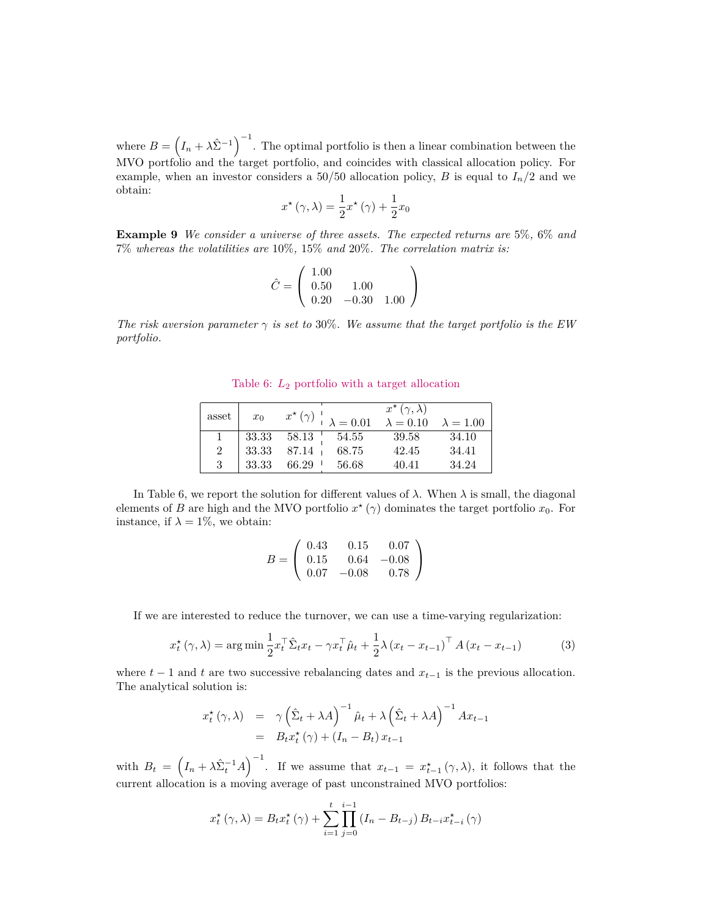where  $B = (I_n + \lambda \hat{\Sigma}^{-1})^{-1}$ . The optimal portfolio is then a linear combination between the MVO portfolio and the target portfolio, and coincides with classical allocation policy. For example, when an investor considers a 50/50 allocation policy, *B* is equal to  $I_n/2$  and we obtain:

$$
x^{\star}(\gamma,\lambda) = \frac{1}{2}x^{\star}(\gamma) + \frac{1}{2}x_0
$$

**Example 9** *We consider a universe of three assets. The expected returns are* 5%*,* 6% *and* 7% *whereas the volatilities are* 10%*,* 15% *and* 20%*. The correlation matrix is:*

$$
\hat{C} = \left(\begin{array}{cc} 1.00 \\ 0.50 & 1.00 \\ 0.20 & -0.30 & 1.00 \end{array}\right)
$$

*The risk aversion parameter*  $\gamma$  *is set to* 30%. We assume that the target portfolio is the EW *portfolio.*

<span id="page-17-0"></span>Table 6: *L*<sup>2</sup> portfolio with a target allocation

| asset | $x_0$ |                   |       | $x^{\star}(\gamma,\lambda)$<br>$x^{\star}(\gamma)$   $\lambda = 0.01$ $\lambda = 0.10$ $\lambda = 1.00$ |       |
|-------|-------|-------------------|-------|---------------------------------------------------------------------------------------------------------|-------|
|       |       | 33.33 58.13 54.55 |       | -39.58                                                                                                  | 34.10 |
| 2     | 33.33 | 87.14 +           | 68.75 | 42.45                                                                                                   | 34.41 |
| 3     | 33.33 | 66.29             | 56.68 | 40.41                                                                                                   | 34.24 |

In Table [6,](#page-17-0) we report the solution for different values of  $\lambda$ . When  $\lambda$  is small, the diagonal elements of *B* are high and the MVO portfolio  $x^*(\gamma)$  dominates the target portfolio  $x_0$ . For instance, if  $\lambda = 1\%$ , we obtain:

$$
B = \left(\begin{array}{ccc} 0.43 & 0.15 & 0.07 \\ 0.15 & 0.64 & -0.08 \\ 0.07 & -0.08 & 0.78 \end{array}\right)
$$

If we are interested to reduce the turnover, we can use a time-varying regularization:

$$
x_t^{\star}(\gamma, \lambda) = \arg\min \frac{1}{2} x_t^{\top} \hat{\Sigma}_t x_t - \gamma x_t^{\top} \hat{\mu}_t + \frac{1}{2} \lambda (x_t - x_{t-1})^{\top} A (x_t - x_{t-1})
$$
(3)

where  $t - 1$  and  $t$  are two successive rebalancing dates and  $x_{t-1}$  is the previous allocation. The analytical solution is:

$$
x_t^{\star}(\gamma, \lambda) = \gamma \left(\hat{\Sigma}_t + \lambda A\right)^{-1} \hat{\mu}_t + \lambda \left(\hat{\Sigma}_t + \lambda A\right)^{-1} Ax_{t-1}
$$
  
=  $B_t x_t^{\star}(\gamma) + (I_n - B_t) x_{t-1}$ 

with  $B_t = \left(I_n + \lambda \hat{\Sigma}_t^{-1} A\right)^{-1}$ . If we assume that  $x_{t-1} = x_{t-1}^* (\gamma, \lambda)$ , it follows that the current allocation is a moving average of past unconstrained MVO portfolios:

$$
x_{t}^{*}(\gamma,\lambda) = B_{t}x_{t}^{*}(\gamma) + \sum_{i=1}^{t} \prod_{j=0}^{i-1} (I_{n} - B_{t-j}) B_{t-i}x_{t-i}^{*}(\gamma)
$$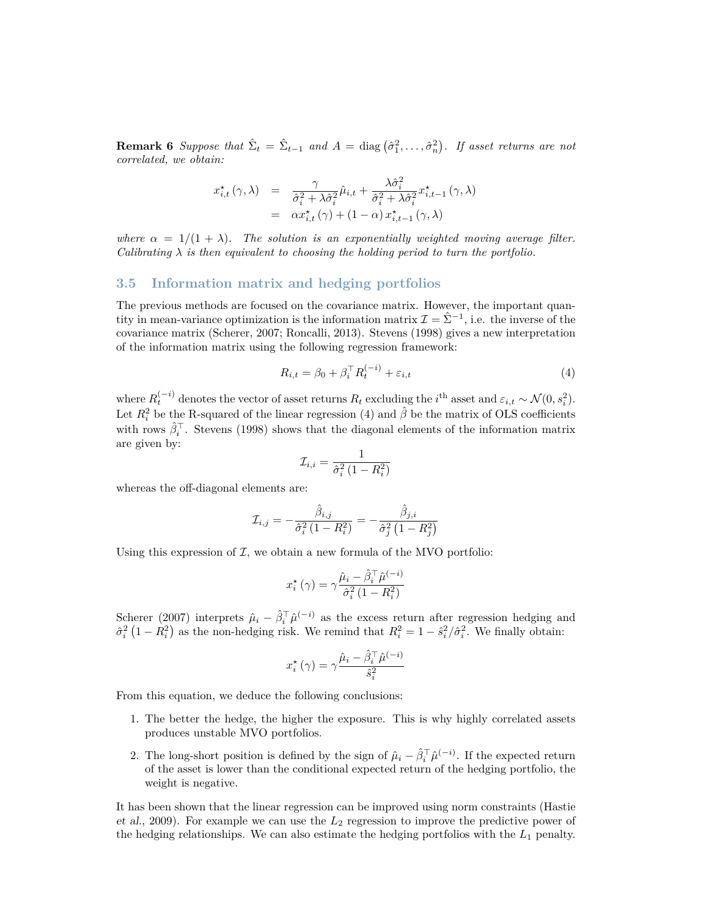**Remark 6** *Suppose that*  $\hat{\Sigma}_t = \hat{\Sigma}_{t-1}$  *and*  $A = \text{diag}(\hat{\sigma}_1^2, \dots, \hat{\sigma}_n^2)$ *. If asset returns are not correlated, we obtain:*

$$
x_{i,t}^{\star}(\gamma,\lambda) = \frac{\gamma}{\hat{\sigma}_i^2 + \lambda \hat{\sigma}_i^2} \hat{\mu}_{i,t} + \frac{\lambda \hat{\sigma}_i^2}{\hat{\sigma}_i^2 + \lambda \hat{\sigma}_i^2} x_{i,t-1}^{\star}(\gamma,\lambda)
$$
  
=  $\alpha x_{i,t}^{\star}(\gamma) + (1-\alpha) x_{i,t-1}^{\star}(\gamma,\lambda)$ 

*where*  $\alpha = 1/(1 + \lambda)$ *. The solution is an exponentially weighted moving average filter. Calibrating*  $\lambda$  *is then equivalent to choosing the holding period to turn the portfolio.* 

#### **3.5 Information matrix and hedging portfolios**

The previous methods are focused on the covariance matrix. However, the important quantity in mean-variance optimization is the information matrix  $\mathcal{I} = \hat{\Sigma}^{-1}$ , i.e. the inverse of the covariance matrix (Scherer, 2007; Roncalli, 2013). Stevens (1998) gives a new interpretation of the information matrix using the following regression framework:

<span id="page-18-0"></span>
$$
R_{i,t} = \beta_0 + \beta_i^{\top} R_t^{(-i)} + \varepsilon_{i,t}
$$
\n<sup>(4)</sup>

where  $R_t^{(-i)}$  denotes the vector of asset returns  $R_t$  excluding the  $i$ <sup>th</sup> asset and  $\varepsilon_{i,t} \sim \mathcal{N}(0, s_i^2)$ . Let  $R_i^2$  be the R-squared of the linear regression [\(4\)](#page-18-0) and  $\hat{\beta}$  be the matrix of OLS coefficients with rows  $\hat{\beta}_i^{\top}$ . Stevens (1998) shows that the diagonal elements of the information matrix are given by:

$$
\mathcal{I}_{i,i} = \frac{1}{\hat{\sigma}_i^2 \left(1 - R_i^2\right)}
$$

whereas the off-diagonal elements are:

$$
\mathcal{I}_{i,j}=-\frac{\hat{\beta}_{i,j}}{\hat{\sigma}_i^2\left(1-R_i^2\right)}=-\frac{\hat{\beta}_{j,i}}{\hat{\sigma}_j^2\left(1-R_j^2\right)}
$$

Using this expression of  $\mathcal{I}$ , we obtain a new formula of the MVO portfolio:

$$
x_i^{\star}(\gamma) = \gamma \frac{\hat{\mu}_i - \hat{\beta}_i^{\top} \hat{\mu}^{(-i)}}{\hat{\sigma}_i^2 (1 - R_i^2)}
$$

Scherer (2007) interprets  $\hat{\mu}_i - \hat{\beta}_i^{\top} \hat{\mu}^{(-i)}$  as the excess return after regression hedging and  $\hat{\sigma}_i^2 (1 - R_i^2)$  as the non-hedging risk. We remind that  $R_i^2 = 1 - \hat{s}_i^2 / \hat{\sigma}_i^2$ . We finally obtain:

$$
x_i^{\star}(\gamma) = \gamma \frac{\hat{\mu}_i - \hat{\beta}_i^{\top} \hat{\mu}^{(-i)}}{\hat{s}_i^2}
$$

From this equation, we deduce the following conclusions:

- 1. The better the hedge, the higher the exposure. This is why highly correlated assets produces unstable MVO portfolios.
- 2. The long-short position is defined by the sign of  $\hat{\mu}_i \hat{\beta}_i^{\top} \hat{\mu}^{(-i)}$ . If the expected return of the asset is lower than the conditional expected return of the hedging portfolio, the weight is negative.

It has been shown that the linear regression can be improved using norm constraints (Hastie et al., 2009). For example we can use the *L*<sup>2</sup> regression to improve the predictive power of the hedging relationships. We can also estimate the hedging portfolios with the  $L_1$  penalty.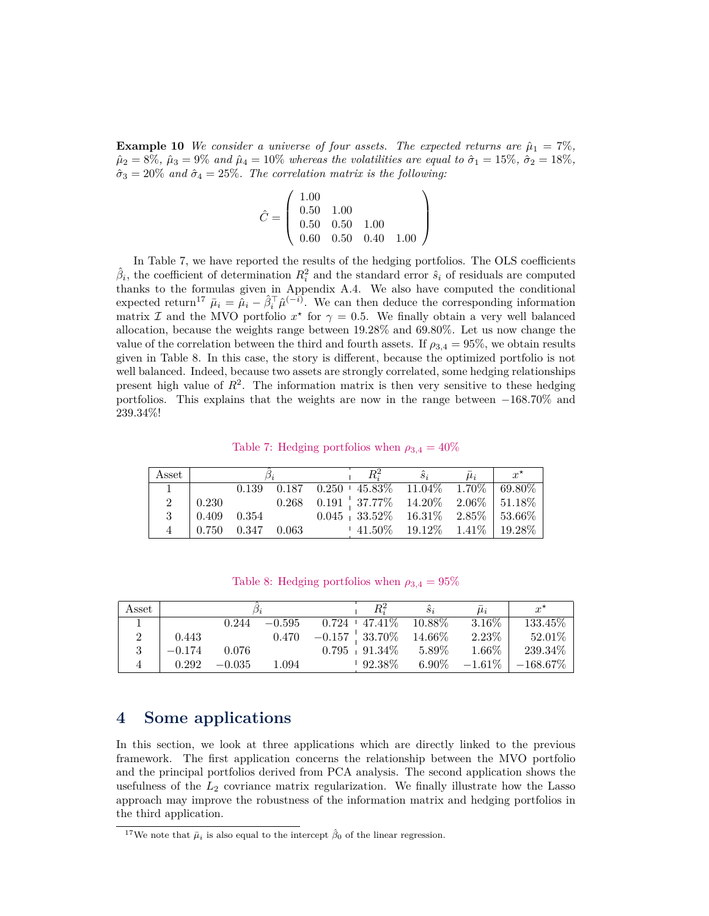**Example 10** *We consider a universe of four assets. The expected returns are*  $\hat{\mu}_1 = 7\%$ ,  $\hat{\mu}_2 = 8\%, \ \hat{\mu}_3 = 9\% \ and \ \hat{\mu}_4 = 10\% \ where$  *as the volatilities are equal to*  $\hat{\sigma}_1 = 15\%, \ \hat{\sigma}_2 = 18\%,$  $\hat{\sigma}_3 = 20\%$  *and*  $\hat{\sigma}_4 = 25\%$ *. The correlation matrix is the following:* 

$$
\hat{C} = \left(\begin{array}{ccc} 1.00 \\ 0.50 & 1.00 \\ 0.50 & 0.50 & 1.00 \\ 0.60 & 0.50 & 0.40 & 1.00 \end{array}\right)
$$

In Table [7,](#page-19-0) we have reported the results of the hedging portfolios. The OLS coefficients  $\hat{\beta}_i$ , the coefficient of determination  $R_i^2$  and the standard error  $\hat{s}_i$  of residuals are computed thanks to the formulas given in Appendix [A.4.](#page-31-0) We also have computed the conditional expected return<sup>[17](#page-19-1)</sup>  $\bar{\mu}_i = \tilde{\mu}_i - \hat{\beta}_i^T \hat{\mu}^{(-i)}$ . We can then deduce the corresponding information matrix I and the MVO portfolio  $x^*$  for  $\gamma = 0.5$ . We finally obtain a very well balanced allocation, because the weights range between 19*.*28% and 69*.*80%. Let us now change the value of the correlation between the third and fourth assets. If  $\rho_{3,4} = 95\%$ , we obtain results given in Table [8.](#page-19-2) In this case, the story is different, because the optimized portfolio is not well balanced. Indeed, because two assets are strongly correlated, some hedging relationships present high value of  $R^2$ . The information matrix is then very sensitive to these hedging portfolios. This explains that the weights are now in the range between −168*.*70% and 239*.*34%!

<span id="page-19-0"></span>Table 7: Hedging portfolios when  $\rho_{3,4} = 40\%$ 

| Asset         |                 |                         |  | $\hat{s}_i$ |                                                             |  |  | $x^{\star}$ |
|---------------|-----------------|-------------------------|--|-------------|-------------------------------------------------------------|--|--|-------------|
|               |                 |                         |  |             | $0.139$ $0.187$ $0.250 + 45.83\%$ $11.04\%$ $1.70\%$ 69.80% |  |  |             |
|               | 0.230           |                         |  |             | $0.268$ $0.191$ $37.77\%$ $14.20\%$ $2.06\%$ $51.18\%$      |  |  |             |
|               | $0.409$ $0.354$ |                         |  |             | $0.045 + 33.52\% - 16.31\% - 2.85\% + 53.66\%$              |  |  |             |
| $\mathcal{A}$ |                 | $0.750$ $0.347$ $0.063$ |  |             | $\frac{1}{2}$ 41.50% 19.12% 1.41% 19.28%                    |  |  |             |

<span id="page-19-2"></span>

|  |  | Table 8: Hedging portfolios when $\rho_{3,4} = 95\%$ |  |  |  |
|--|--|------------------------------------------------------|--|--|--|
|--|--|------------------------------------------------------|--|--|--|

| Asset |          |          |          |                    | $S_i$     | $\mu_i$   | $x^{\star}$ |
|-------|----------|----------|----------|--------------------|-----------|-----------|-------------|
|       |          | 0.244    | $-0.595$ | $0.724 + 47.41\%$  | $10.88\%$ | $3.16\%$  | 133.45\%    |
|       | 0.443    |          | 0.470    | $-0.157\pm33.70\%$ | $14.66\%$ | 2.23%     | $52.01\%$   |
|       | $-0.174$ | 0.076    |          | $0.795 + 91.34\%$  | $5.89\%$  | 1.66%     | 239.34\%    |
|       | 0.292    | $-0.035$ | 1.094    | $92.38\%$          | $6.90\%$  | $-1.61\%$ | $-168.67\%$ |

### **4 Some applications**

In this section, we look at three applications which are directly linked to the previous framework. The first application concerns the relationship between the MVO portfolio and the principal portfolios derived from PCA analysis. The second application shows the usefulness of the *L*<sup>2</sup> covriance matrix regularization. We finally illustrate how the Lasso approach may improve the robustness of the information matrix and hedging portfolios in the third application.

<span id="page-19-1"></span><sup>&</sup>lt;sup>17</sup>We note that  $\bar{\mu}_i$  is also equal to the intercept  $\hat{\beta}_0$  of the linear regression.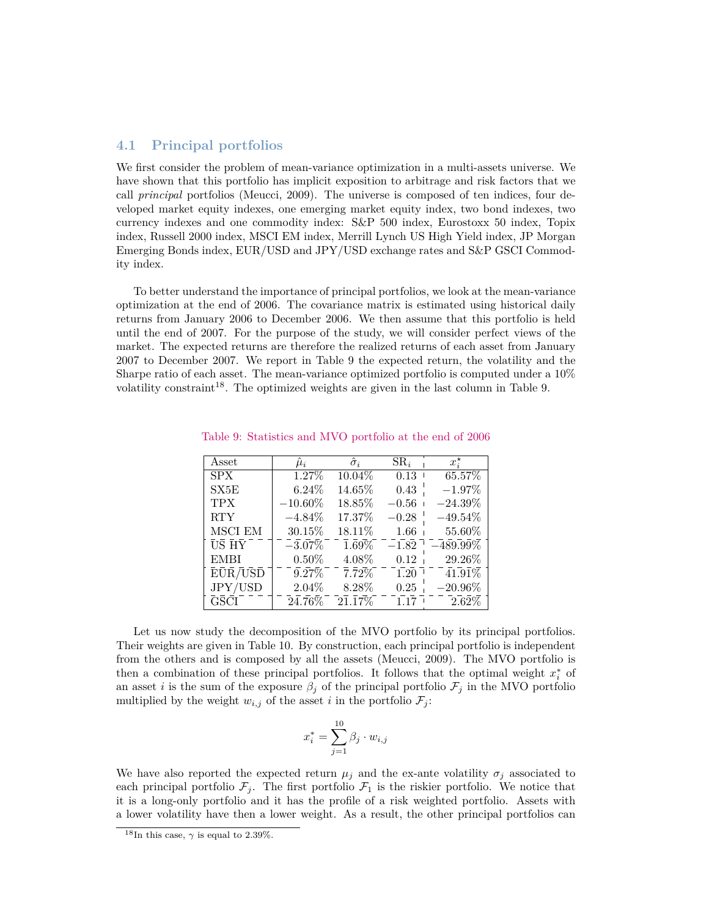### **4.1 Principal portfolios**

We first consider the problem of mean-variance optimization in a multi-assets universe. We have shown that this portfolio has implicit exposition to arbitrage and risk factors that we call *principal* portfolios (Meucci, 2009). The universe is composed of ten indices, four developed market equity indexes, one emerging market equity index, two bond indexes, two currency indexes and one commodity index: S&P 500 index, Eurostoxx 50 index, Topix index, Russell 2000 index, MSCI EM index, Merrill Lynch US High Yield index, JP Morgan Emerging Bonds index, EUR/USD and JPY/USD exchange rates and S&P GSCI Commodity index.

To better understand the importance of principal portfolios, we look at the mean-variance optimization at the end of 2006. The covariance matrix is estimated using historical daily returns from January 2006 to December 2006. We then assume that this portfolio is held until the end of 2007. For the purpose of the study, we will consider perfect views of the market. The expected returns are therefore the realized returns of each asset from January 2007 to December 2007. We report in Table [9](#page-20-0) the expected return, the volatility and the Sharpe ratio of each asset. The mean-variance optimized portfolio is computed under a 10% volatility constraint<sup>[18](#page-20-1)</sup>. The optimized weights are given in the last column in Table [9.](#page-20-0)

| Asset                             | $\mu_i$               | $\hat{\sigma}_i$            | $SR_i$  | $x_i^{\star}$  |
|-----------------------------------|-----------------------|-----------------------------|---------|----------------|
| <b>SPX</b>                        | 1.27%                 | 10.04%                      | 0.13    | 65.57%         |
| SX5E                              | $6.24\%$              | 14.65%                      | 0.43    | $-1.97\%$      |
| <b>TPX</b>                        | $-10.60\%$            | 18.85%                      | $-0.56$ | $-24.39\%$     |
| <b>RTY</b>                        | $-4.84\%$             | 17.37%                      | $-0.28$ | $-49.54\%$     |
| MSCI EM                           | 30.15%                | 18.11\%                     | 1.66    | 55.60%         |
| $\bar{U} \bar{S} \bar{H} \bar{Y}$ | $-3.07\%$             | $1.69\%$                    | $-1.82$ | $-489.99\%$    |
| <b>EMBI</b>                       | $0.50\%$              | 4.08%                       | 0.12    | 29.26%         |
| EŪR/USD                           | $9.27\%$              | $\bar{7}.\bar{7}2\%$        | 1.20    | $41.91\%$      |
| JPY/USD                           | 2.04\%                | 8.28%                       | 0.25    | $-20.96\%$     |
| <b>GSCI</b>                       | $\bar{2}\bar{4}.76\%$ | $\bar{2}\bar{1}.\bar{1}7\%$ | 1.17    | $\bar{2.62\%}$ |

<span id="page-20-0"></span>Table 9: Statistics and MVO portfolio at the end of 2006

Let us now study the decomposition of the MVO portfolio by its principal portfolios. Their weights are given in Table [10.](#page-21-0) By construction, each principal portfolio is independent from the others and is composed by all the assets (Meucci, 2009). The MVO portfolio is then a combination of these principal portfolios. It follows that the optimal weight  $x_i^*$  of an asset *i* is the sum of the exposure  $\beta_j$  of the principal portfolio  $\mathcal{F}_j$  in the MVO portfolio multiplied by the weight  $w_{i,j}$  of the asset *i* in the portfolio  $\mathcal{F}_j$ :

$$
x_i^* = \sum_{j=1}^{10} \beta_j \cdot w_{i,j}
$$

We have also reported the expected return  $\mu_j$  and the ex-ante volatility  $\sigma_j$  associated to each principal portfolio  $\mathcal{F}_j$ . The first portfolio  $\mathcal{F}_1$  is the riskier portfolio. We notice that it is a long-only portfolio and it has the profile of a risk weighted portfolio. Assets with a lower volatility have then a lower weight. As a result, the other principal portfolios can

<span id="page-20-1"></span><sup>&</sup>lt;sup>18</sup>In this case,  $\gamma$  is equal to 2.39%.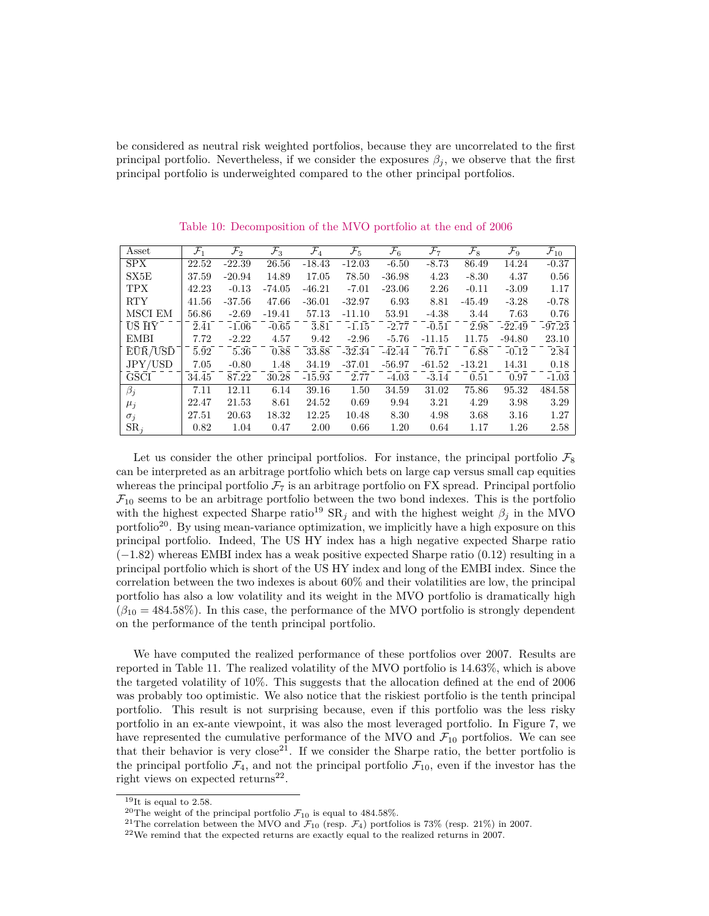be considered as neutral risk weighted portfolios, because they are uncorrelated to the first principal portfolio. Nevertheless, if we consider the exposures  $\beta_j$ , we observe that the first principal portfolio is underweighted compared to the other principal portfolios.

| Asset                                   | $\mathcal{F}_1$ | $\mathcal{F}_2$ | $\mathcal{F}_3$ | $\mathcal{F}_4$ | $\mathcal{F}_5$ | $\mathcal{F}_6$ | $\mathcal{F}_7$ | $\mathcal{F}_{8}$ | $\mathcal{F}_9$ | $\mathcal{F}_{10}$ |
|-----------------------------------------|-----------------|-----------------|-----------------|-----------------|-----------------|-----------------|-----------------|-------------------|-----------------|--------------------|
| <b>SPX</b>                              | 22.52           | $-22.39$        | 26.56           | $-18.43$        | $-12.03$        | $-6.50$         | $-8.73$         | 86.49             | 14.24           | $-0.37$            |
| SX5E                                    | 37.59           | $-20.94$        | 14.89           | 17.05           | 78.50           | $-36.98$        | 4.23            | $-8.30$           | 4.37            | 0.56               |
| <b>TPX</b>                              | 42.23           | $-0.13$         | -74.05          | $-46.21$        | $-7.01$         | $-23.06$        | 2.26            | $-0.11$           | $-3.09$         | 1.17               |
| <b>RTY</b>                              | 41.56           | $-37.56$        | 47.66           | $-36.01$        | $-32.97$        | 6.93            | 8.81            | $-45.49$          | $-3.28$         | $-0.78$            |
| MSCI EM                                 | 56.86           | $-2.69$         | $-19.41$        | 57.13           | $-11.10$        | 53.91           | $-4.38$         | 3.44              | 7.63            | 0.76               |
| US HY                                   | 2.41            | $-1.06$         | $-0.65$         | 3.81            | $-1.15$         | $-2.77$         | $-0.51$         | 2.98              | $-22.49$        | $-97.23$           |
| <b>EMBI</b>                             | 7.72            | $-2.22$         | 4.57            | 9.42            | $-2.96$         | $-5.76$         | $-11.15$        | 11.75             | $-94.80$        | 23.10              |
| $E\bar{U}\bar{R}/\bar{U}\bar{S}\bar{D}$ | 5.92            | 5.36            | 0.88            | 33.88           | $-32.34$        | $-42.44$        | 76.71           | 6.88              | $-0.12$         | 2.84               |
| JPY/USD                                 | 7.05            | $-0.80$         | 1.48            | 34.19           | $-37.01$        | $-56.97$        | $-61.52$        | $-13.21$          | 14.31           | 0.18               |
| <b>GSCI</b>                             | 34.45           | 87.22           | 30.28           | $-15.93$        | 2.77            | $-4.03$         | $-3.14$         | 0.51              | 0.97            | $-1.03$            |
| $\beta_j$                               | 7.11            | 12.11           | 6.14            | 39.16           | 1.50            | 34.59           | 31.02           | 75.86             | 95.32           | 484.58             |
| $\mu_j$                                 | 22.47           | 21.53           | 8.61            | 24.52           | 0.69            | 9.94            | 3.21            | 4.29              | 3.98            | 3.29               |
| $\sigma_j$                              | 27.51           | 20.63           | 18.32           | 12.25           | 10.48           | 8.30            | 4.98            | 3.68              | 3.16            | 1.27               |
| $SR_i$                                  | 0.82            | 1.04            | 0.47            | 2.00            | 0.66            | 1.20            | 0.64            | 1.17              | 1.26            | 2.58               |

<span id="page-21-0"></span>Table 10: Decomposition of the MVO portfolio at the end of 2006

Let us consider the other principal portfolios. For instance, the principal portfolio  $\mathcal{F}_8$ can be interpreted as an arbitrage portfolio which bets on large cap versus small cap equities whereas the principal portfolio  $\mathcal{F}_7$  is an arbitrage portfolio on FX spread. Principal portfolio  $\mathcal{F}_{10}$  seems to be an arbitrage portfolio between the two bond indexes. This is the portfolio with the highest expected Sharpe ratio<sup>[19](#page-21-1)</sup> SR<sub>*j*</sub> and with the highest weight  $\beta_j$  in the MVO portfolio<sup>[20](#page-21-2)</sup>. By using mean-variance optimization, we implicitly have a high exposure on this principal portfolio. Indeed, The US HY index has a high negative expected Sharpe ratio (−1*.*82) whereas EMBI index has a weak positive expected Sharpe ratio (0*.*12) resulting in a principal portfolio which is short of the US HY index and long of the EMBI index. Since the correlation between the two indexes is about 60% and their volatilities are low, the principal portfolio has also a low volatility and its weight in the MVO portfolio is dramatically high  $(\beta_{10} = 484.58\%)$ . In this case, the performance of the MVO portfolio is strongly dependent on the performance of the tenth principal portfolio.

We have computed the realized performance of these portfolios over 2007. Results are reported in Table [11.](#page-22-0) The realized volatility of the MVO portfolio is 14*.*63%, which is above the targeted volatility of 10%. This suggests that the allocation defined at the end of 2006 was probably too optimistic. We also notice that the riskiest portfolio is the tenth principal portfolio. This result is not surprising because, even if this portfolio was the less risky portfolio in an ex-ante viewpoint, it was also the most leveraged portfolio. In Figure [7,](#page-22-1) we have represented the cumulative performance of the MVO and  $\mathcal{F}_{10}$  portfolios. We can see that their behavior is very close<sup>[21](#page-21-3)</sup>. If we consider the Sharpe ratio, the better portfolio is the principal portfolio  $\mathcal{F}_4$ , and not the principal portfolio  $\mathcal{F}_{10}$ , even if the investor has the right views on expected returns<sup>[22](#page-21-4)</sup>.

<span id="page-21-1"></span><sup>19</sup>It is equal to 2*.*58.

<span id="page-21-2"></span><sup>&</sup>lt;sup>20</sup>The weight of the principal portfolio  $\mathcal{F}_{10}$  is equal to 484.58%.

<span id="page-21-3"></span><sup>&</sup>lt;sup>21</sup>The correlation between the MVO and  $\mathcal{F}_{10}$  (resp.  $\mathcal{F}_4$ ) portfolios is 73% (resp. 21%) in 2007.

<span id="page-21-4"></span><sup>22</sup>We remind that the expected returns are exactly equal to the realized returns in 2007.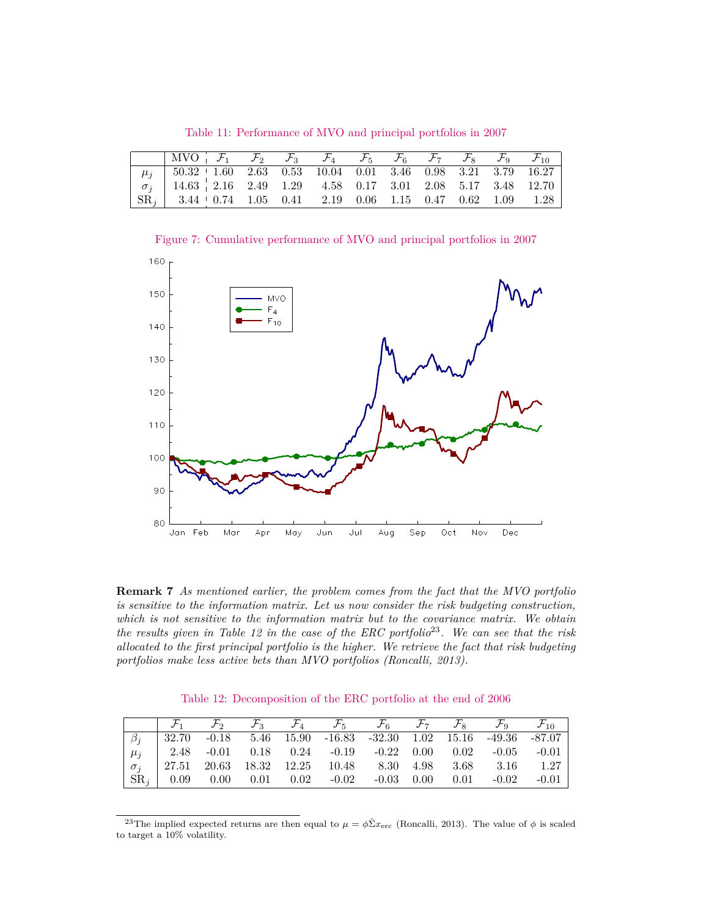<span id="page-22-0"></span>Table 11: Performance of MVO and principal portfolios in 2007

| $\begin{array}{ccccccccc} \mid \text{MVO} & \mathcal{F}_1 & \mathcal{F}_2 & \mathcal{F}_3 & \mathcal{F}_4 & \mathcal{F}_5 & \mathcal{F}_6 & \mathcal{F}_7 & \mathcal{F}_8 & \mathcal{F}_9 & \mathcal{F}_{10} \end{array}$ |  |  |  |  |  |
|---------------------------------------------------------------------------------------------------------------------------------------------------------------------------------------------------------------------------|--|--|--|--|--|
| $\mu_j$   50.32   1.60 2.63 0.53 10.04 0.01 3.46 0.98 3.21 3.79 16.27                                                                                                                                                     |  |  |  |  |  |
|                                                                                                                                                                                                                           |  |  |  |  |  |
| $\begin{array}{ c ccccc } \hline \text{SR}_i & 3.44 & 0.74 & 1.05 & 0.41 & 2.19 & 0.06 & 1.15 & 0.47 & 0.62 & 1.09 & 1.28 \hline \end{array}$                                                                             |  |  |  |  |  |

<span id="page-22-1"></span>Figure 7: Cumulative performance of MVO and principal portfolios in 2007



**Remark 7** *As mentioned earlier, the problem comes from the fact that the MVO portfolio is sensitive to the information matrix. Let us now consider the risk budgeting construction, which is not sensitive to the information matrix but to the covariance matrix. We obtain the results given in Table [12](#page-22-2) in the case of the ERC portfolio*[23](#page-22-3)*. We can see that the risk allocated to the first principal portfolio is the higher. We retrieve the fact that risk budgeting portfolios make less active bets than MVO portfolios (Roncalli, 2013).*

<span id="page-22-2"></span>Table 12: Decomposition of the ERC portfolio at the end of 2006

|  |  |                                                                                                                                                  |  |  | $\mathcal{F}_1$ $\mathcal{F}_2$ $\mathcal{F}_3$ $\mathcal{F}_4$ $\mathcal{F}_5$ $\mathcal{F}_6$ $\mathcal{F}_7$ $\mathcal{F}_8$ $\mathcal{F}_9$ $\mathcal{F}_{10}$ |
|--|--|--------------------------------------------------------------------------------------------------------------------------------------------------|--|--|--------------------------------------------------------------------------------------------------------------------------------------------------------------------|
|  |  |                                                                                                                                                  |  |  | $\begin{array}{ c ccccc } \hline \beta_j & 32.70 & -0.18 & 5.46 & 15.90 & -16.83 & -32.30 & 1.02 & 15.16 & -49.36 & -87.07 \hline \end{array}$                     |
|  |  |                                                                                                                                                  |  |  |                                                                                                                                                                    |
|  |  | $\begin{array}{ c ccccccccccc } \hline \sigma_j & 27.51 & 20.63 & 18.32 & 12.25 & 10.48 & 8.30 & 4.98 & 3.68 & 3.16 & 1.27 \\\hline \end{array}$ |  |  |                                                                                                                                                                    |
|  |  |                                                                                                                                                  |  |  | $\vert$ SR <sub>i</sub> $\vert$ 0.09 0.00 0.01 0.02 -0.02 -0.03 0.00 0.01 -0.02 -0.01                                                                              |

<span id="page-22-3"></span><sup>&</sup>lt;sup>23</sup>The implied expected returns are then equal to  $\mu = \phi \hat{\Sigma} x_{\text{erc}}$  (Roncalli, 2013). The value of  $\phi$  is scaled to target a 10% volatility.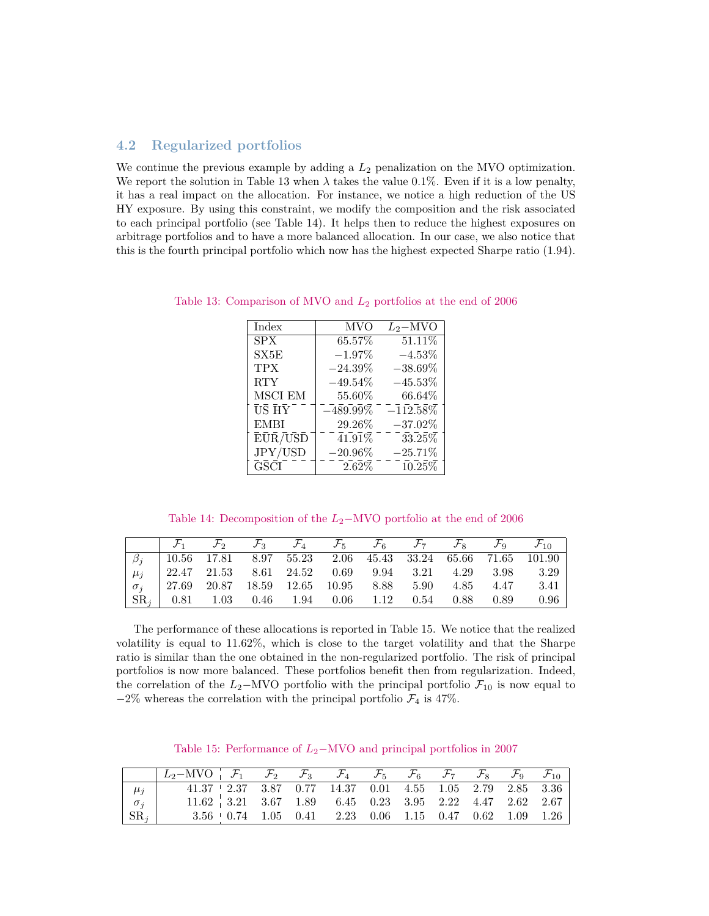### **4.2 Regularized portfolios**

We continue the previous example by adding a  $L_2$  penalization on the MVO optimization. We report the solution in Table [13](#page-23-0) when  $\lambda$  takes the value 0.1%. Even if it is a low penalty, it has a real impact on the allocation. For instance, we notice a high reduction of the US HY exposure. By using this constraint, we modify the composition and the risk associated to each principal portfolio (see Table [14\)](#page-23-1). It helps then to reduce the highest exposures on arbitrage portfolios and to have a more balanced allocation. In our case, we also notice that this is the fourth principal portfolio which now has the highest expected Sharpe ratio (1*.*94).

<span id="page-23-0"></span>

| Index       | <b>MVO</b>                  | $L_2-MVO$                       |
|-------------|-----------------------------|---------------------------------|
| <b>SPX</b>  | 65.57%                      | 51.11%                          |
| SX5E        | $-1.97\%$                   | $-4.53\%$                       |
| TPX         | $-24.39\%$                  | $-38.69\%$                      |
| <b>RTY</b>  | $-49.54\%$                  | $-45.53\%$                      |
| MSCI EM     | 55.60%                      | 66.64%                          |
| US HY       | $-489.99\%$                 | $-1\bar{1}2.\bar{5}\bar{8}\%$   |
| <b>EMBI</b> | 29.26%                      | $-37.02\%$                      |
| ĒŪR/USD     | $\bar{4}1.\bar{9}\bar{1}\%$ | 33.25%                          |
| JPY/USD     | $-20.96\%$                  | $-25.71\%$                      |
| <b>GSCI</b> | $2.62\%$                    | $10.\overline{25}\overline{\%}$ |

Table 13: Comparison of MVO and *L*<sup>2</sup> portfolios at the end of 2006

<span id="page-23-1"></span>Table 14: Decomposition of the *L*2−MVO portfolio at the end of 2006

|  |  |  |  |  | $\mathcal{F}_1$ $\mathcal{F}_2$ $\mathcal{F}_3$ $\mathcal{F}_4$ $\mathcal{F}_5$ $\mathcal{F}_6$ $\mathcal{F}_7$ $\mathcal{F}_8$ $\mathcal{F}_9$ $\mathcal{F}_{10}$ |
|--|--|--|--|--|--------------------------------------------------------------------------------------------------------------------------------------------------------------------|
|  |  |  |  |  |                                                                                                                                                                    |
|  |  |  |  |  |                                                                                                                                                                    |
|  |  |  |  |  |                                                                                                                                                                    |
|  |  |  |  |  |                                                                                                                                                                    |

The performance of these allocations is reported in Table [15.](#page-23-2) We notice that the realized volatility is equal to 11*.*62%, which is close to the target volatility and that the Sharpe ratio is similar than the one obtained in the non-regularized portfolio. The risk of principal portfolios is now more balanced. These portfolios benefit then from regularization. Indeed, the correlation of the  $L_2$ −MVO portfolio with the principal portfolio  $\mathcal{F}_{10}$  is now equal to  $-2\%$  whereas the correlation with the principal portfolio  $\mathcal{F}_4$  is 47%.

<span id="page-23-2"></span>Table 15: Performance of *L*<sub>2</sub>−MVO and principal portfolios in 2007

|                         | $\begin{array}{ccccccccccccc}\n & L_2-\text{MVO} & F_1 & F_2 & F_3 & F_4 & F_5 & F_6 & F_7 & F_8 & F_9 & F_{10}\n\end{array}$ |  |  |  |  |  |
|-------------------------|-------------------------------------------------------------------------------------------------------------------------------|--|--|--|--|--|
| $\mu_j$                 | $41.37 + 2.37$ $3.87$ $0.77$ $14.37$ $0.01$ $4.55$ $1.05$ $2.79$ $2.85$ $3.36$                                                |  |  |  |  |  |
| $\sigma_j$ <sup>'</sup> | $11.62$ , 3.21 3.67 1.89 6.45 0.23 3.95 2.22 4.47 2.62 2.67                                                                   |  |  |  |  |  |
| $ {\rm SR}_i $          | $3.56 + 0.74$ 1.05 0.41 2.23 0.06 1.15 0.47 0.62 1.09 1.26                                                                    |  |  |  |  |  |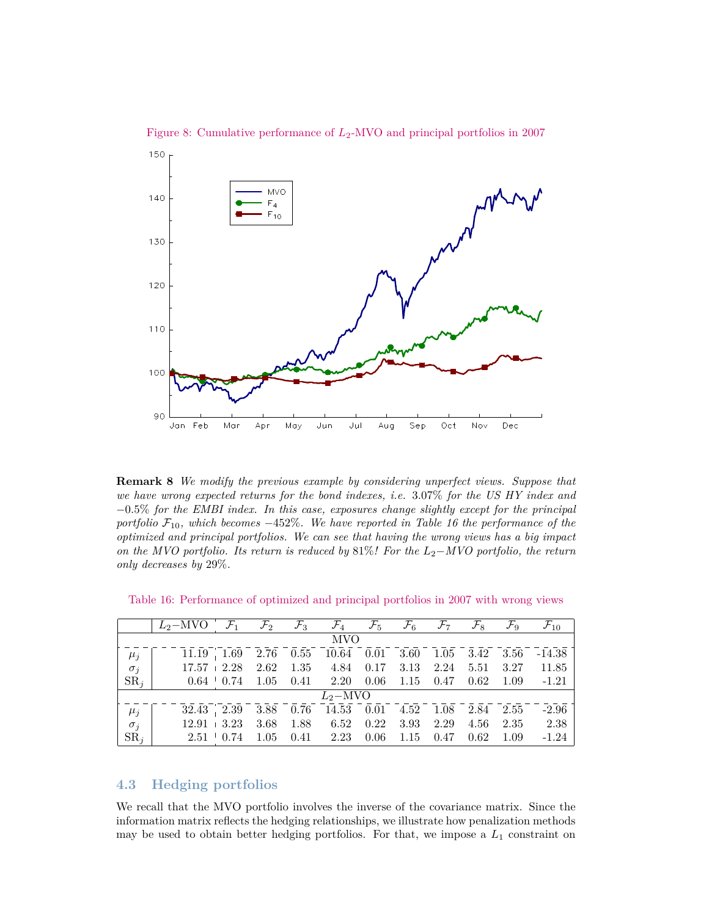

Figure 8: Cumulative performance of *L*2-MVO and principal portfolios in 2007

**Remark 8** *We modify the previous example by considering unperfect views. Suppose that we have wrong expected returns for the bond indexes, i.e.* 3*.*07% *for the US HY index and* −0*.*5% *for the EMBI index. In this case, exposures change slightly except for the principal portfolio*  $\mathcal{F}_{10}$ *, which becomes* −452%. We have reported in Table [16](#page-24-0) the performance of the *optimized and principal portfolios. We can see that having the wrong views has a big impact on the MVO portfolio. Its return is reduced by* 81%*! For the L*2−*MVO portfolio, the return only decreases by* 29%*.*

|               | $L_2-\text{MVO}$ $\mathcal{F}_1$ $\mathcal{F}_2$ $\mathcal{F}_3$ $\mathcal{F}_4$ $\mathcal{F}_5$ $\mathcal{F}_6$ $\mathcal{F}_7$ $\mathcal{F}_8$ $\mathcal{F}_9$ $\mathcal{F}_{10}$ |                 |      |                                                                                            |      |      |                   |          |        |                                                                                                                                                                                                             |
|---------------|-------------------------------------------------------------------------------------------------------------------------------------------------------------------------------------|-----------------|------|--------------------------------------------------------------------------------------------|------|------|-------------------|----------|--------|-------------------------------------------------------------------------------------------------------------------------------------------------------------------------------------------------------------|
|               |                                                                                                                                                                                     |                 |      | <b>MVO</b>                                                                                 |      |      |                   |          |        |                                                                                                                                                                                                             |
| $\mu_j$       |                                                                                                                                                                                     |                 |      |                                                                                            |      |      |                   |          |        | $\overline{11.19}$ , $\overline{1.69}$ $\overline{2.76}$ $\overline{0.55}$ $\overline{10.64}$ $\overline{0.01}$ $\overline{3.60}$ $\overline{1.05}$ $\overline{3.42}$ $\overline{3.56}$ $\overline{-14.38}$ |
| $\sigma_j$    | $17.57 + 2.28$                                                                                                                                                                      |                 |      | 2.62 1.35 4.84 0.17                                                                        |      | 3.13 |                   |          |        | 2.24 5.51 3.27 11.85                                                                                                                                                                                        |
| $SR_i$        |                                                                                                                                                                                     | $0.64 \pm 0.74$ |      | $1.05$ $0.41$ $2.20$ $0.06$ $1.15$ $0.47$ $0.62$ $1.09$ $-1.21$                            |      |      |                   |          |        |                                                                                                                                                                                                             |
|               |                                                                                                                                                                                     |                 |      | $L_2-MVO$                                                                                  |      |      |                   |          |        |                                                                                                                                                                                                             |
| $\mu_j$       |                                                                                                                                                                                     |                 |      | $\overline{32.43}$ $\overline{2.39}$ $\overline{3.88}$ 0.76 14.53 0.01 4.52 1.08 2.84 2.55 |      |      |                   |          |        | $-2.96$                                                                                                                                                                                                     |
| $\sigma_j$    | $12.91 + 3.23$                                                                                                                                                                      |                 | 3.68 | 1.88 6.52                                                                                  | 0.22 | 3.93 | 2.29              | 4.56     | 2.35   | 2.38                                                                                                                                                                                                        |
| $\text{SR}_i$ | $2.51 \pm 0.74$                                                                                                                                                                     |                 |      | $1.05$ $0.41$ $2.23$                                                                       | 0.06 |      | $1.15 \quad 0.47$ | $0.62\,$ | - 1.09 | $-1.24$                                                                                                                                                                                                     |

<span id="page-24-0"></span>Table 16: Performance of optimized and principal portfolios in 2007 with wrong views

### **4.3 Hedging portfolios**

We recall that the MVO portfolio involves the inverse of the covariance matrix. Since the information matrix reflects the hedging relationships, we illustrate how penalization methods may be used to obtain better hedging portfolios. For that, we impose a *L*<sup>1</sup> constraint on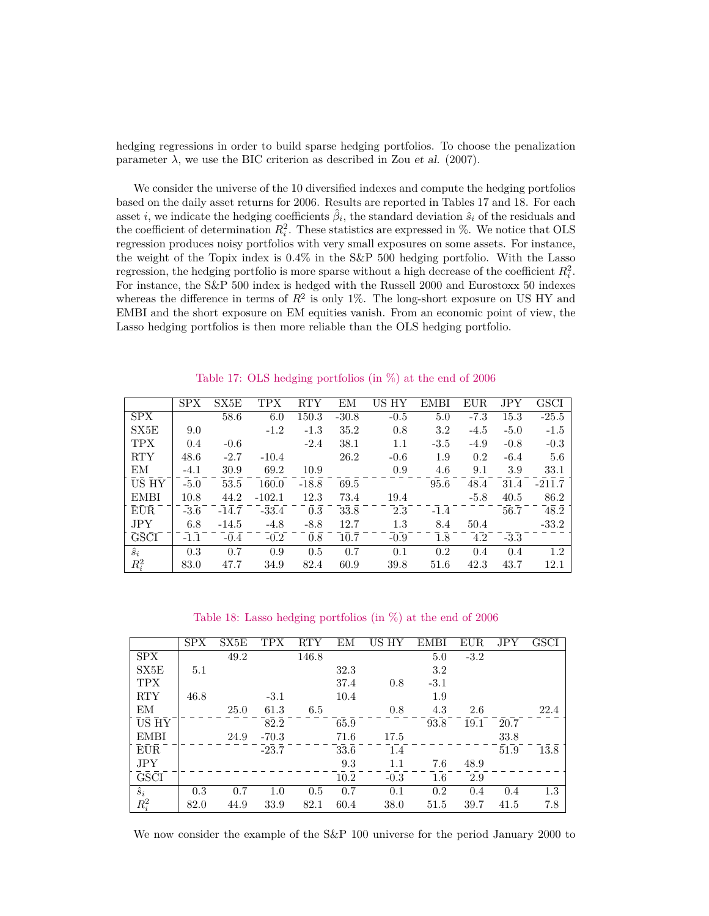hedging regressions in order to build sparse hedging portfolios. To choose the penalization parameter  $\lambda$ , we use the BIC criterion as described in Zou *et al.* (2007).

We consider the universe of the 10 diversified indexes and compute the hedging portfolios based on the daily asset returns for 2006. Results are reported in Tables [17](#page-25-0) and [18.](#page-25-1) For each asset *i*, we indicate the hedging coefficients  $\hat{\beta}_i$ , the standard deviation  $\hat{s}_i$  of the residuals and the coefficient of determination  $R_i^2$ . These statistics are expressed in %. We notice that OLS regression produces noisy portfolios with very small exposures on some assets. For instance, the weight of the Topix index is 0*.*4% in the S&P 500 hedging portfolio. With the Lasso regression, the hedging portfolio is more sparse without a high decrease of the coefficient  $R_i^2$ . For instance, the S&P 500 index is hedged with the Russell 2000 and Eurostoxx 50 indexes whereas the difference in terms of  $R^2$  is only 1%. The long-short exposure on US HY and EMBI and the short exposure on EM equities vanish. From an economic point of view, the Lasso hedging portfolios is then more reliable than the OLS hedging portfolio.

|             | <b>SPX</b> | SX5E    | TPX      | RTY     | EМ      | НY<br>US | <b>EMBI</b> | <b>EUR</b> | JPY    | GSCI     |
|-------------|------------|---------|----------|---------|---------|----------|-------------|------------|--------|----------|
| <b>SPX</b>  |            | 58.6    | 6.0      | 150.3   | $-30.8$ | $-0.5$   | 5.0         | $-7.3$     | 15.3   | $-25.5$  |
| SX5E        | 9.0        |         | $-1.2$   | $-1.3$  | 35.2    | 0.8      | 3.2         | $-4.5$     | $-5.0$ | $-1.5$   |
| <b>TPX</b>  | 0.4        | $-0.6$  |          | $-2.4$  | 38.1    | 1.1      | $-3.5$      | $-4.9$     | $-0.8$ | $-0.3$   |
| <b>RTY</b>  | 48.6       | $-2.7$  | $-10.4$  |         | 26.2    | $-0.6$   | 1.9         | 0.2        | $-6.4$ | 5.6      |
| ΕM          | $-4.1$     | 30.9    | 69.2     | 10.9    |         | 0.9      | 4.6         | 9.1        | 3.9    | 33.1     |
| US HY       | $-5.0$     | 53.5    | 160.0    | $-18.8$ | 69.5    |          | 95.6        | 48.4       | 31.4   | $-211.7$ |
| <b>EMBI</b> | 10.8       | 44.2    | $-102.1$ | 12.3    | 73.4    | 19.4     |             | $-5.8$     | 40.5   | 86.2     |
| <b>EUR</b>  | $-3.6$     | $-14.7$ | $-33.4$  | 0.3     | 33.8    | 2.3      | $-1.4$      |            | 56.7   | 48.2     |
| JPY         | 6.8        | $-14.5$ | $-4.8$   | $-8.8$  | 12.7    | 1.3      | 8.4         | 50.4       |        | $-33.2$  |
| <b>GSCI</b> | $-1.1$     | $-0.4$  | $-0.2$   | 0.8     | 10.7    | $-0.9$   | 1.8         | 4.2        | $-3.3$ |          |
| $\hat{s}_i$ | 0.3        | 0.7     | 0.9      | 0.5     | 0.7     | 0.1      | 0.2         | 0.4        | 0.4    | 1.2      |
| $R_i^2$     | 83.0       | 47.7    | 34.9     | 82.4    | 60.9    | 39.8     | 51.6        | 42.3       | 43.7   | 12.1     |

<span id="page-25-0"></span>Table 17: OLS hedging portfolios (in %) at the end of 2006

<span id="page-25-1"></span>Table 18: Lasso hedging portfolios (in %) at the end of 2006

|                    | <b>SPX</b> | SX5E        | <b>TPX</b> | RTY   | ΕM   | US HY  | <b>EMBI</b> | EUR.   | JPY  | <b>GSCI</b> |
|--------------------|------------|-------------|------------|-------|------|--------|-------------|--------|------|-------------|
| <b>SPX</b>         |            | 49.2        |            | 146.8 |      |        | 5.0         | $-3.2$ |      |             |
| SX5E               | 5.1        |             |            |       | 32.3 |        | 3.2         |        |      |             |
| <b>TPX</b>         |            |             |            |       | 37.4 | 0.8    | $-3.1$      |        |      |             |
| <b>RTY</b>         | 46.8       |             | $-3.1$     |       | 10.4 |        | 1.9         |        |      |             |
| ΕM                 |            | <b>25.0</b> | 61.3       | 6.5   |      | 0.8    | 4.3         | 2.6    |      | 22.4        |
| $\overline{US}$ HY |            |             | 82.2       |       | 65.9 |        | 93.8        | 19.1   | 20.7 |             |
| EMBI               |            | 24.9        | $-70.3$    |       | 71.6 | 17.5   |             |        | 33.8 |             |
| EUR.               |            |             | $-23.7$    |       | 33.6 | 1.4    |             |        | 51.9 | 13.8        |
| JPY                |            |             |            |       | 9.3  | 1.1    | 7.6         | 48.9   |      |             |
| <b>GSCI</b>        |            |             |            |       | 10.2 | $-0.3$ | $1.6\,$     | 2.9    |      |             |
| $\hat{s}_i$        | 0.3        | 0.7         | 1.0        | 0.5   | 0.7  | 0.1    | 0.2         | 0.4    | 0.4  | 1.3         |
| $R_i^2$            | 82.0       | 44.9        | 33.9       | 82.1  | 60.4 | 38.0   | 51.5        | 39.7   | 41.5 | 7.8         |

We now consider the example of the S&P 100 universe for the period January 2000 to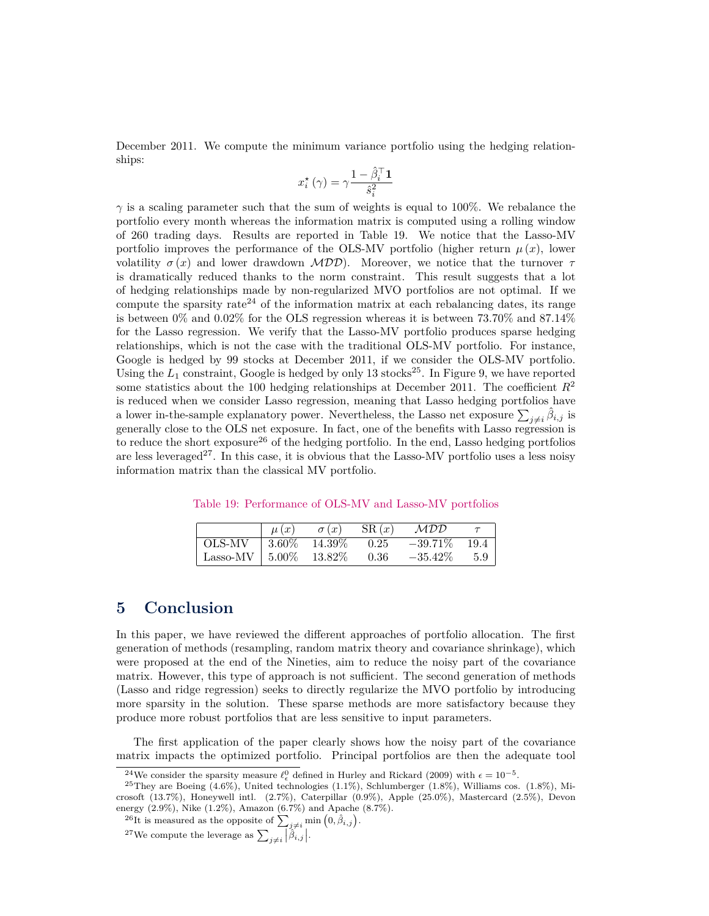December 2011. We compute the minimum variance portfolio using the hedging relationships:

$$
x_i^\star\left(\gamma\right)=\gamma\frac{1-\hat{\beta}_i^\top\mathbf{1}}{\hat{s}_i^2}
$$

 $\gamma$  is a scaling parameter such that the sum of weights is equal to 100%. We rebalance the portfolio every month whereas the information matrix is computed using a rolling window of 260 trading days. Results are reported in Table [19.](#page-26-0) We notice that the Lasso-MV portfolio improves the performance of the OLS-MV portfolio (higher return  $\mu(x)$ , lower volatility  $\sigma(x)$  and lower drawdown  $\mathcal{MDD}$ ). Moreover, we notice that the turnover  $\tau$ is dramatically reduced thanks to the norm constraint. This result suggests that a lot of hedging relationships made by non-regularized MVO portfolios are not optimal. If we compute the sparsity rate<sup>[24](#page-26-1)</sup> of the information matrix at each rebalancing dates, its range is between 0% and 0*.*02% for the OLS regression whereas it is between 73*.*70% and 87*.*14% for the Lasso regression. We verify that the Lasso-MV portfolio produces sparse hedging relationships, which is not the case with the traditional OLS-MV portfolio. For instance, Google is hedged by 99 stocks at December 2011, if we consider the OLS-MV portfolio. Using the  $L_1$  constraint, Google is hedged by only 13 stocks<sup>[25](#page-26-2)</sup>. In Figure [9,](#page-27-0) we have reported some statistics about the 100 hedging relationships at December 2011. The coefficient  $R^2$ is reduced when we consider Lasso regression, meaning that Lasso hedging portfolios have a lower in-the-sample explanatory power. Nevertheless, the Lasso net exposure  $\sum_{j\neq i} \hat{\beta}_{i,j}$  is generally close to the OLS net exposure. In fact, one of the benefits with Lasso regression is to reduce the short exposure<sup>[26](#page-26-3)</sup> of the hedging portfolio. In the end, Lasso hedging portfolios are less leveraged<sup>[27](#page-26-4)</sup>. In this case, it is obvious that the Lasso-MV portfolio uses a less noisy information matrix than the classical MV portfolio.

<span id="page-26-0"></span>Table 19: Performance of OLS-MV and Lasso-MV portfolios

|                             | $\mu(x)$ | $\sigma(x)$ | SR(x) | MDD        |      |
|-----------------------------|----------|-------------|-------|------------|------|
| OLS-MV                      | $3.60\%$ | $14.39\%$   | 0.25  | $-39.71\%$ | 19.4 |
| Lasso-MV $\mid 5.00\% \mid$ |          | $13.82\%$   | 0.36  | $-35.42\%$ | 5.9  |

### **5 Conclusion**

In this paper, we have reviewed the different approaches of portfolio allocation. The first generation of methods (resampling, random matrix theory and covariance shrinkage), which were proposed at the end of the Nineties, aim to reduce the noisy part of the covariance matrix. However, this type of approach is not sufficient. The second generation of methods (Lasso and ridge regression) seeks to directly regularize the MVO portfolio by introducing more sparsity in the solution. These sparse methods are more satisfactory because they produce more robust portfolios that are less sensitive to input parameters.

The first application of the paper clearly shows how the noisy part of the covariance matrix impacts the optimized portfolio. Principal portfolios are then the adequate tool

<span id="page-26-2"></span><span id="page-26-1"></span><sup>&</sup>lt;sup>24</sup>We consider the sparsity measure  $\ell_{\epsilon}^{0}$  defined in Hurley and Rickard (2009) with  $\epsilon = 10^{-5}$ .

 $^{25}$ They are Boeing  $(4.6\%)$ , United technologies  $(1.1\%)$ , Schlumberger  $(1.8\%)$ , Williams cos.  $(1.8\%)$ , Microsoft (13.7%), Honeywell intl. (2.7%), Caterpillar (0.9%), Apple (25.0%), Mastercard (2.5%), Devon energy (2.9%), Nike (1.2%), Amazon (6.7%) and Apache (8.7%).

<span id="page-26-3"></span><sup>&</sup>lt;sup>26</sup>It is measured as the opposite of  $\sum_{j\neq i}$  min  $(0, \hat{\beta}_{i,j})$ .

<span id="page-26-4"></span><sup>&</sup>lt;sup>27</sup>We compute the leverage as  $\sum_{j\neq i} |\hat{\beta}_{i,j}|$ .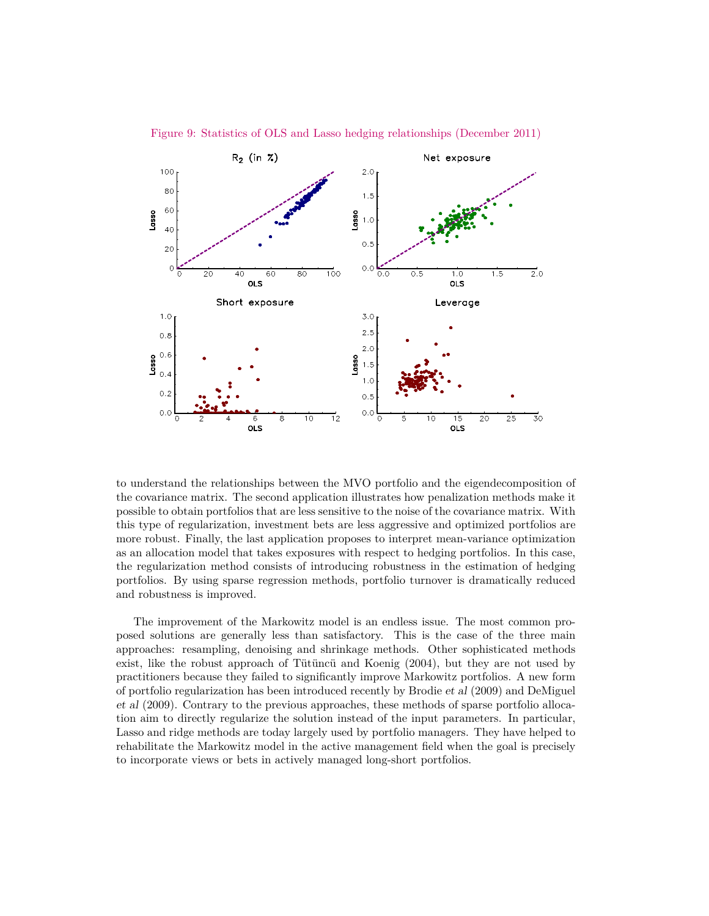

<span id="page-27-0"></span>Figure 9: Statistics of OLS and Lasso hedging relationships (December 2011)

to understand the relationships between the MVO portfolio and the eigendecomposition of the covariance matrix. The second application illustrates how penalization methods make it possible to obtain portfolios that are less sensitive to the noise of the covariance matrix. With this type of regularization, investment bets are less aggressive and optimized portfolios are more robust. Finally, the last application proposes to interpret mean-variance optimization as an allocation model that takes exposures with respect to hedging portfolios. In this case, the regularization method consists of introducing robustness in the estimation of hedging portfolios. By using sparse regression methods, portfolio turnover is dramatically reduced and robustness is improved.

The improvement of the Markowitz model is an endless issue. The most common proposed solutions are generally less than satisfactory. This is the case of the three main approaches: resampling, denoising and shrinkage methods. Other sophisticated methods exist, like the robust approach of Tütüncü and Koenig (2004), but they are not used by practitioners because they failed to significantly improve Markowitz portfolios. A new form of portfolio regularization has been introduced recently by Brodie et al (2009) and DeMiguel et al (2009). Contrary to the previous approaches, these methods of sparse portfolio allocation aim to directly regularize the solution instead of the input parameters. In particular, Lasso and ridge methods are today largely used by portfolio managers. They have helped to rehabilitate the Markowitz model in the active management field when the goal is precisely to incorporate views or bets in actively managed long-short portfolios.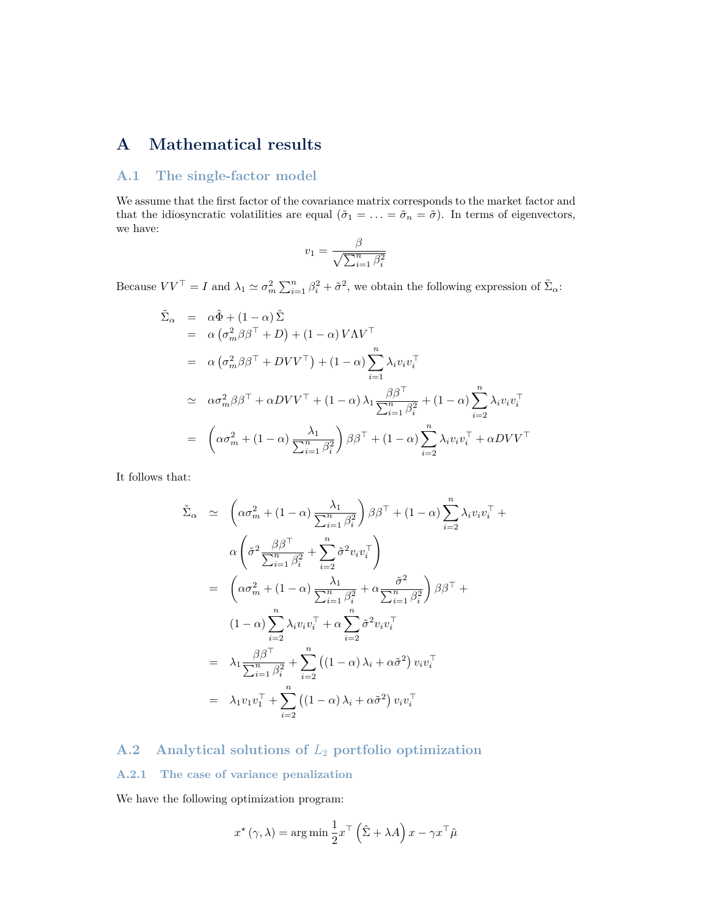# **A Mathematical results**

### <span id="page-28-0"></span>**A.1 The single-factor model**

We assume that the first factor of the covariance matrix corresponds to the market factor and that the idiosyncratic volatilities are equal  $(\tilde{\sigma}_1 = \ldots = \tilde{\sigma}_n = \tilde{\sigma})$ . In terms of eigenvectors, we have:

$$
v_1 = \frac{\beta}{\sqrt{\sum_{i=1}^n \beta_i^2}}
$$

Because  $VV^{\top} = I$  and  $\lambda_1 \simeq \sigma_m^2 \sum_{i=1}^n \beta_i^2 + \tilde{\sigma}^2$ , we obtain the following expression of  $\tilde{\Sigma}_{\alpha}$ :

$$
\tilde{\Sigma}_{\alpha} = \alpha \hat{\Phi} + (1 - \alpha) \hat{\Sigma}
$$
\n
$$
= \alpha (\sigma_m^2 \beta \beta^\top + D) + (1 - \alpha) V \Lambda V^\top
$$
\n
$$
= \alpha (\sigma_m^2 \beta \beta^\top + D V V^\top) + (1 - \alpha) \sum_{i=1}^n \lambda_i v_i v_i^\top
$$
\n
$$
\approx \alpha \sigma_m^2 \beta \beta^\top + \alpha D V V^\top + (1 - \alpha) \lambda_1 \frac{\beta \beta^\top}{\sum_{i=1}^n \beta_i^2} + (1 - \alpha) \sum_{i=2}^n \lambda_i v_i v_i^\top
$$
\n
$$
= \left( \alpha \sigma_m^2 + (1 - \alpha) \frac{\lambda_1}{\sum_{i=1}^n \beta_i^2} \right) \beta \beta^\top + (1 - \alpha) \sum_{i=2}^n \lambda_i v_i v_i^\top + \alpha D V V^\top
$$

It follows that:

$$
\tilde{\Sigma}_{\alpha} \simeq \left(\alpha \sigma_{m}^{2} + (1 - \alpha) \frac{\lambda_{1}}{\sum_{i=1}^{n} \beta_{i}^{2}}\right) \beta \beta^{\top} + (1 - \alpha) \sum_{i=2}^{n} \lambda_{i} v_{i} v_{i}^{\top} + \alpha \left(\tilde{\sigma}^{2} \frac{\beta \beta^{\top}}{\sum_{i=1}^{n} \beta_{i}^{2}} + \sum_{i=2}^{n} \tilde{\sigma}^{2} v_{i} v_{i}^{\top}\right)
$$
\n
$$
= \left(\alpha \sigma_{m}^{2} + (1 - \alpha) \frac{\lambda_{1}}{\sum_{i=1}^{n} \beta_{i}^{2}} + \alpha \frac{\tilde{\sigma}^{2}}{\sum_{i=1}^{n} \beta_{i}^{2}}\right) \beta \beta^{\top} + (1 - \alpha) \sum_{i=2}^{n} \lambda_{i} v_{i} v_{i}^{\top} + \alpha \sum_{i=2}^{n} \tilde{\sigma}^{2} v_{i} v_{i}^{\top}
$$
\n
$$
= \lambda_{1} \frac{\beta \beta^{\top}}{\sum_{i=1}^{n} \beta_{i}^{2}} + \sum_{i=2}^{n} \left((1 - \alpha) \lambda_{i} + \alpha \tilde{\sigma}^{2}\right) v_{i} v_{i}^{\top}
$$
\n
$$
= \lambda_{1} v_{1} v_{1}^{\top} + \sum_{i=2}^{n} \left((1 - \alpha) \lambda_{i} + \alpha \tilde{\sigma}^{2}\right) v_{i} v_{i}^{\top}
$$

# **A.2 Analytical solutions of** *L*<sup>2</sup> **portfolio optimization**

### <span id="page-28-1"></span>**A.2.1 The case of variance penalization**

We have the following optimization program:

$$
x^{\star}(\gamma,\lambda) = \arg\min \frac{1}{2}x^{\top} (\hat{\Sigma} + \lambda A) x - \gamma x^{\top} \hat{\mu}
$$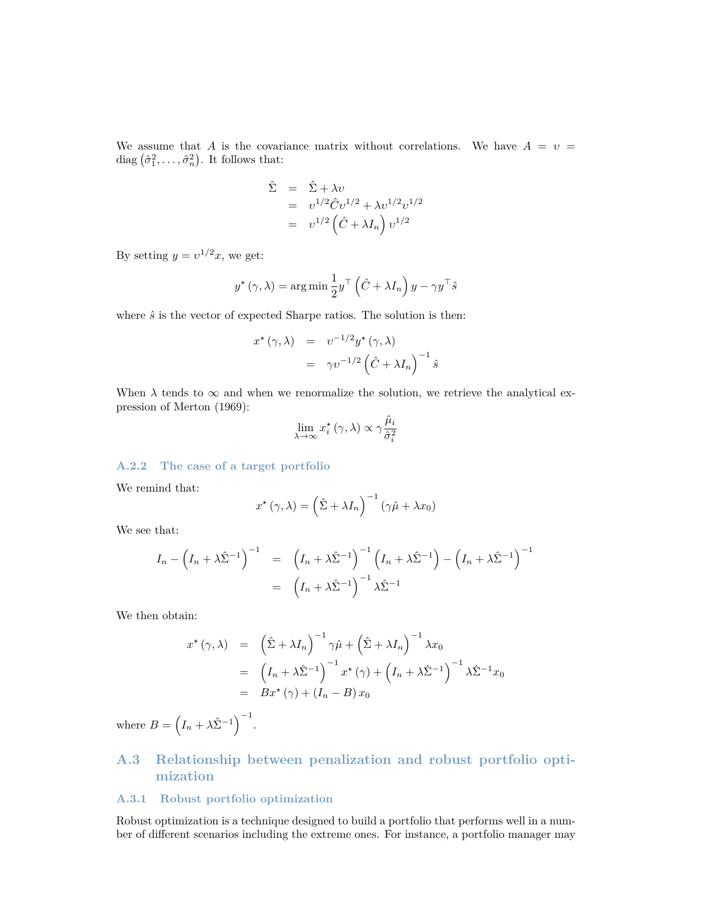We assume that *A* is the covariance matrix without correlations. We have  $A = v =$ diag  $(\hat{\sigma}_1^2, \ldots, \hat{\sigma}_n^2)$ . It follows that:

$$
\tilde{\Sigma} = \hat{\Sigma} + \lambda v
$$
  
=  $v^{1/2} \hat{C} v^{1/2} + \lambda v^{1/2} v^{1/2}$   
=  $v^{1/2} (\hat{C} + \lambda I_n) v^{1/2}$ 

By setting  $y = v^{1/2}x$ , we get:

$$
y^{\star}(\gamma,\lambda) = \arg\min \frac{1}{2}y^{\top} (\hat{C} + \lambda I_n) y - \gamma y^{\top} \hat{s}
$$

where  $\hat{s}$  is the vector of expected Sharpe ratios. The solution is then:

$$
x^{\star}(\gamma,\lambda) = v^{-1/2}y^{\star}(\gamma,\lambda)
$$
  
=  $\gamma v^{-1/2}(\hat{C} + \lambda I_n)^{-1}\hat{s}$ 

When  $\lambda$  tends to  $\infty$  and when we renormalize the solution, we retrieve the analytical expression of Merton (1969):

$$
\lim_{\lambda \to \infty} x_i^\star(\gamma, \lambda) \propto \gamma \frac{\hat{\mu}_i}{\hat{\sigma}_i^2}
$$

### <span id="page-29-0"></span>**A.2.2 The case of a target portfolio**

We remind that:

$$
x^{\star}(\gamma,\lambda) = \left(\hat{\Sigma} + \lambda I_n\right)^{-1} \left(\gamma \hat{\mu} + \lambda x_0\right)
$$

We see that:

$$
I_n - \left(I_n + \lambda \hat{\Sigma}^{-1}\right)^{-1} = \left(I_n + \lambda \hat{\Sigma}^{-1}\right)^{-1} \left(I_n + \lambda \hat{\Sigma}^{-1}\right) - \left(I_n + \lambda \hat{\Sigma}^{-1}\right)^{-1}
$$

$$
= \left(I_n + \lambda \hat{\Sigma}^{-1}\right)^{-1} \lambda \hat{\Sigma}^{-1}
$$

We then obtain:

$$
x^{\star}(\gamma,\lambda) = (\hat{\Sigma} + \lambda I_n)^{-1} \gamma \hat{\mu} + (\hat{\Sigma} + \lambda I_n)^{-1} \lambda x_0
$$
  
=  $(I_n + \lambda \hat{\Sigma}^{-1})^{-1} x^{\star} (\gamma) + (I_n + \lambda \hat{\Sigma}^{-1})^{-1} \lambda \hat{\Sigma}^{-1} x_0$   
=  $Bx^{\star} (\gamma) + (I_n - B) x_0$ 

where  $B = \left(I_n + \lambda \hat{\Sigma}^{-1}\right)^{-1}$ .

# **A.3 Relationship between penalization and robust portfolio optimization**

### **A.3.1 Robust portfolio optimization**

Robust optimization is a technique designed to build a portfolio that performs well in a number of different scenarios including the extreme ones. For instance, a portfolio manager may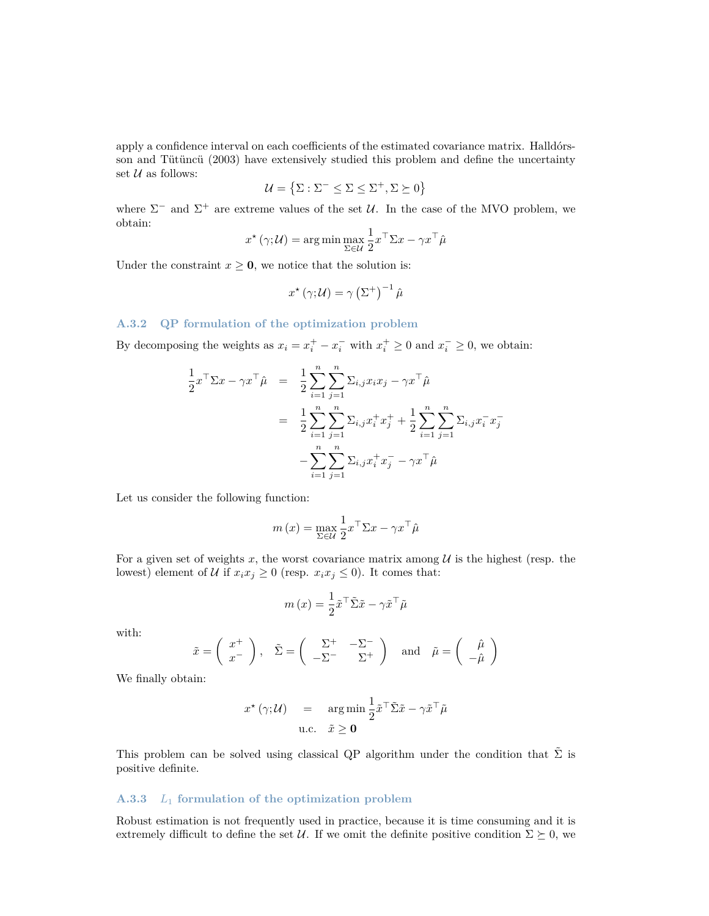apply a confidence interval on each coefficients of the estimated covariance matrix. Halldórsson and Tütüncü (2003) have extensively studied this problem and define the uncertainty set  $U$  as follows:

$$
\mathcal{U} = \left\{ \Sigma : \Sigma^- \leq \Sigma \leq \Sigma^+, \Sigma \succeq 0 \right\}
$$

where  $\Sigma^-$  and  $\Sigma^+$  are extreme values of the set U. In the case of the MVO problem, we obtain:

$$
x^{\star}(\gamma;\mathcal{U}) = \arg\min_{\Sigma \in \mathcal{U}} \frac{1}{2} x^{\top} \Sigma x - \gamma x^{\top} \hat{\mu}
$$

Under the constraint  $x \geq 0$ , we notice that the solution is:

$$
x^{\star}(\gamma;\mathcal{U}) = \gamma \left(\Sigma^{+}\right)^{-1} \hat{\mu}
$$

#### **A.3.2 QP formulation of the optimization problem**

By decomposing the weights as  $x_i = x_i^+ - x_i^-$  with  $x_i^+ \ge 0$  and  $x_i^- \ge 0$ , we obtain:

$$
\frac{1}{2}x^{\top} \Sigma x - \gamma x^{\top} \hat{\mu} = \frac{1}{2} \sum_{i=1}^{n} \sum_{j=1}^{n} \Sigma_{i,j} x_i x_j - \gamma x^{\top} \hat{\mu}
$$
\n
$$
= \frac{1}{2} \sum_{i=1}^{n} \sum_{j=1}^{n} \Sigma_{i,j} x_i^{\top} x_j^{\top} + \frac{1}{2} \sum_{i=1}^{n} \sum_{j=1}^{n} \Sigma_{i,j} x_i^{-} x_j^{-}
$$
\n
$$
- \sum_{i=1}^{n} \sum_{j=1}^{n} \Sigma_{i,j} x_i^{\top} x_j^{-} - \gamma x^{\top} \hat{\mu}
$$

Let us consider the following function:

$$
m\left(x\right)=\max_{\Sigma\in\mathcal{U}}\frac{1}{2}x^{\top}\Sigma x-\gamma x^{\top}\hat{\mu}
$$

For a given set of weights  $x$ , the worst covariance matrix among  $\mathcal U$  is the highest (resp. the lowest) element of U if  $x_i x_j \geq 0$  (resp.  $x_i x_j \leq 0$ ). It comes that:

$$
m(x) = \frac{1}{2}\tilde{x}^\top \tilde{\Sigma} \tilde{x} - \gamma \tilde{x}^\top \tilde{\mu}
$$

with:

$$
\tilde{x} = \begin{pmatrix} x^+ \\ x^- \end{pmatrix}, \quad \tilde{\Sigma} = \begin{pmatrix} \Sigma^+ & -\Sigma^- \\ -\Sigma^- & \Sigma^+ \end{pmatrix} \text{ and } \tilde{\mu} = \begin{pmatrix} \hat{\mu} \\ -\hat{\mu} \end{pmatrix}
$$

We finally obtain:

$$
x^{\star}(\gamma;\mathcal{U}) = \arg\min \frac{1}{2}\tilde{x}^{\top}\tilde{\Sigma}\tilde{x} - \gamma \tilde{x}^{\top}\tilde{\mu}
$$
  
u.c.  $\tilde{x} \ge 0$ 

This problem can be solved using classical QP algorithm under the condition that  $\Sigma$  is positive definite.

### **A.3.3** *L*<sup>1</sup> **formulation of the optimization problem**

Robust estimation is not frequently used in practice, because it is time consuming and it is extremely difficult to define the set U. If we omit the definite positive condition  $\Sigma \succeq 0$ , we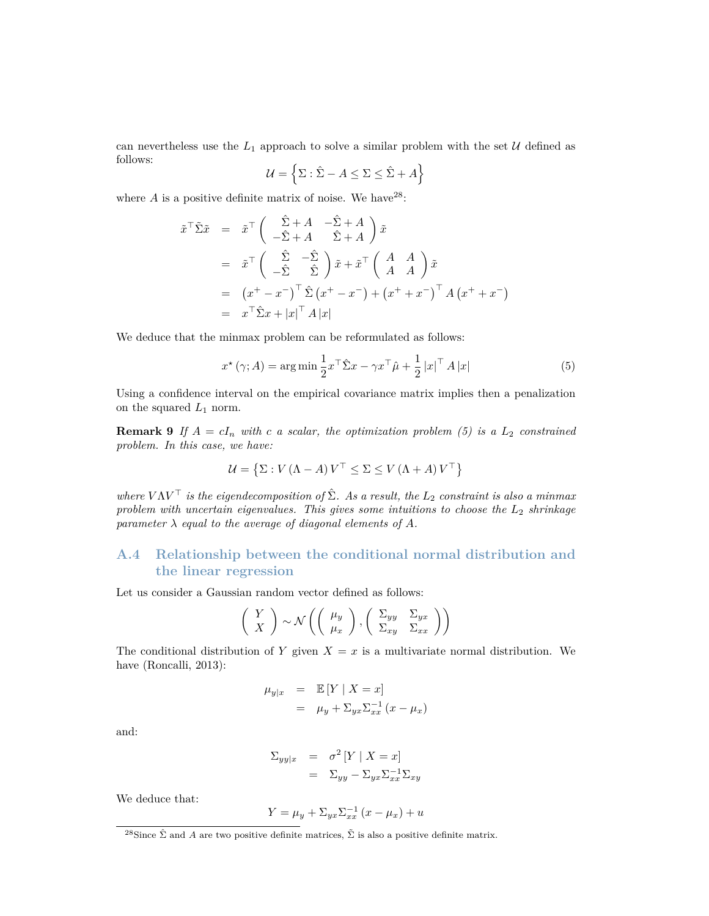can nevertheless use the  $L_1$  approach to solve a similar problem with the set  $\mathcal U$  defined as follows:

$$
\mathcal{U} = \left\{ \Sigma : \hat{\Sigma} - A \le \Sigma \le \hat{\Sigma} + A \right\}
$$

where  $A$  is a positive definite matrix of noise. We have  $2^8$ :

$$
\tilde{x}^{\top} \tilde{\Sigma} \tilde{x} = \tilde{x}^{\top} \begin{pmatrix} \hat{\Sigma} + A & -\hat{\Sigma} + A \\ -\hat{\Sigma} + A & \hat{\Sigma} + A \end{pmatrix} \tilde{x}
$$
  
\n
$$
= \tilde{x}^{\top} \begin{pmatrix} \hat{\Sigma} & -\hat{\Sigma} \\ -\hat{\Sigma} & \hat{\Sigma} \end{pmatrix} \tilde{x} + \tilde{x}^{\top} \begin{pmatrix} A & A \\ A & A \end{pmatrix} \tilde{x}
$$
  
\n
$$
= (x^{+} - x^{-})^{\top} \hat{\Sigma} (x^{+} - x^{-}) + (x^{+} + x^{-})^{\top} A (x^{+} + x^{-})
$$
  
\n
$$
= x^{\top} \hat{\Sigma} x + |x|^{\top} A |x|
$$

We deduce that the minmax problem can be reformulated as follows:

<span id="page-31-2"></span>
$$
x^{\star}(\gamma; A) = \arg\min \frac{1}{2} x^{\top} \hat{\Sigma} x - \gamma x^{\top} \hat{\mu} + \frac{1}{2} |x|^{\top} A |x|
$$
 (5)

Using a confidence interval on the empirical covariance matrix implies then a penalization on the squared  $L_1$  norm.

**Remark 9** If  $A = cI_n$  with c a scalar, the optimization problem [\(5\)](#page-31-2) is a  $L_2$  constrained *problem. In this case, we have:*

$$
\mathcal{U} = \left\{ \Sigma : V \left( \Lambda - A \right) V^{\top} \le \Sigma \le V \left( \Lambda + A \right) V^{\top} \right\}
$$

*where*  $V\Lambda V^{\top}$  *is the eigendecomposition of*  $\hat{\Sigma}$ *. As a result, the*  $L_2$  *constraint is also a minmax problem with uncertain eigenvalues. This gives some intuitions to choose the L*<sup>2</sup> *shrinkage parameter*  $\lambda$  *equal to the average of diagonal elements of*  $A$ *.* 

### <span id="page-31-0"></span>**A.4 Relationship between the conditional normal distribution and the linear regression**

Let us consider a Gaussian random vector defined as follows:

$$
\left(\begin{array}{c} Y \\ X \end{array}\right) \sim \mathcal{N}\left(\left(\begin{array}{c} \mu_y \\ \mu_x \end{array}\right), \left(\begin{array}{cc} \Sigma_{yy} & \Sigma_{yx} \\ \Sigma_{xy} & \Sigma_{xx} \end{array}\right)\right)
$$

The conditional distribution of *Y* given  $X = x$  is a multivariate normal distribution. We have (Roncalli, 2013):

$$
\mu_{y|x} = \mathbb{E}[Y | X = x]
$$
  
=  $\mu_y + \sum_{yx} \sum_{xx}^{-1} (x - \mu_x)$ 

and:

$$
\Sigma_{yy|x} = \sigma^2 [Y | X = x]
$$
  
=  $\Sigma_{yy} - \Sigma_{yx} \Sigma_{xx}^{-1} \Sigma_{xy}$ 

We deduce that:

$$
Y = \mu_y + \Sigma_{yx} \Sigma_{xx}^{-1} (x - \mu_x) + u
$$

<span id="page-31-1"></span><sup>&</sup>lt;sup>28</sup>Since  $\hat{\Sigma}$  and *A* are two positive definite matrices,  $\tilde{\Sigma}$  is also a positive definite matrix.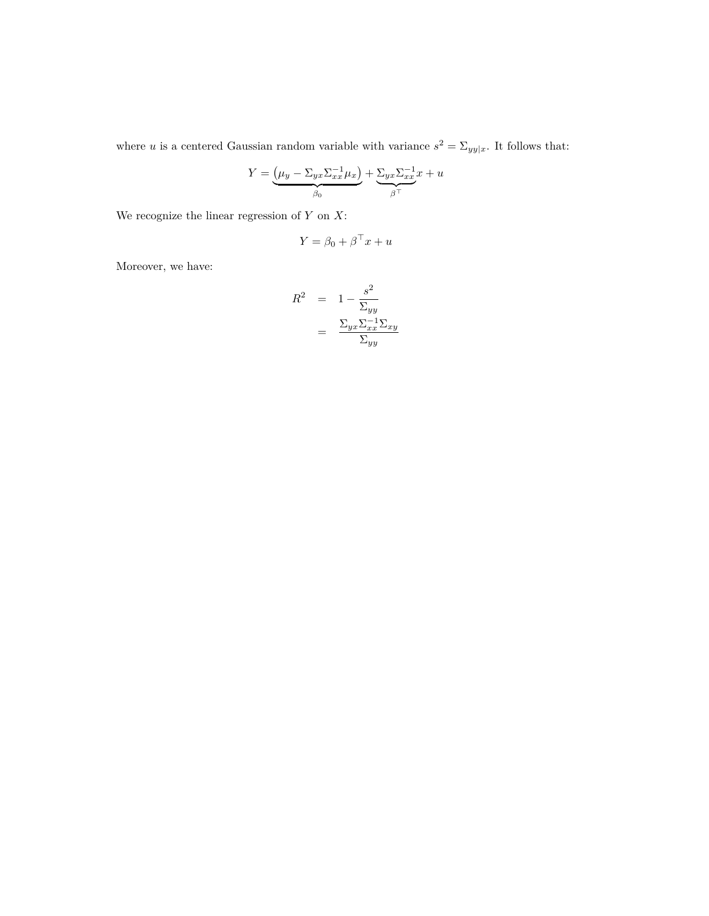where *u* is a centered Gaussian random variable with variance  $s^2 = \sum_{yy|x}$ . It follows that:

$$
Y = \underbrace{(\mu_y - \Sigma_{yx}\Sigma_{xx}^{-1}\mu_x)}_{\beta_0} + \underbrace{\Sigma_{yx}\Sigma_{xx}^{-1}x}_{\beta^\top} + u
$$

We recognize the linear regression of *Y* on *X*:

$$
Y = \beta_0 + \beta^\top x + u
$$

Moreover, we have:

$$
R^{2} = 1 - \frac{s^{2}}{\Sigma_{yy}}
$$

$$
= \frac{\Sigma_{yx}\Sigma_{xx}^{-1}\Sigma_{xy}}{\Sigma_{yy}}
$$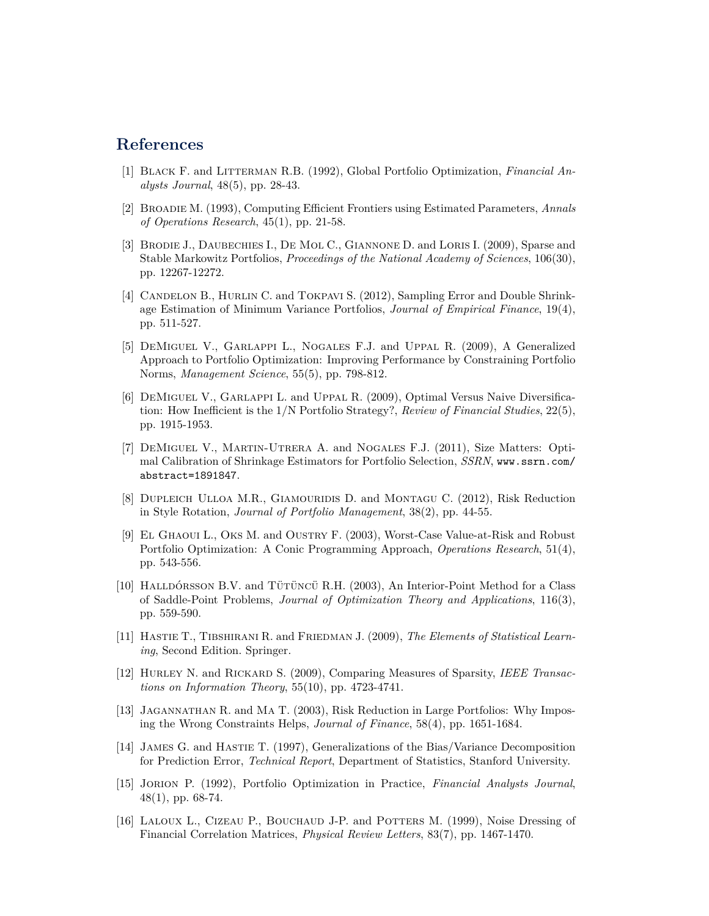## **References**

- [1] Black F. and Litterman R.B. (1992), Global Portfolio Optimization, *Financial Analysts Journal*, 48(5), pp. 28-43.
- [2] Broadie M. (1993), Computing Efficient Frontiers using Estimated Parameters, *Annals of Operations Research*, 45(1), pp. 21-58.
- [3] BRODIE J., DAUBECHIES I., DE MOL C., GIANNONE D. and LORIS I. (2009), Sparse and Stable Markowitz Portfolios, *Proceedings of the National Academy of Sciences*, 106(30), pp. 12267-12272.
- [4] CANDELON B., HURLIN C. and TOKPAVI S. (2012), Sampling Error and Double Shrinkage Estimation of Minimum Variance Portfolios, *Journal of Empirical Finance*, 19(4), pp. 511-527.
- [5] DeMiguel V., Garlappi L., Nogales F.J. and Uppal R. (2009), A Generalized Approach to Portfolio Optimization: Improving Performance by Constraining Portfolio Norms, *Management Science*, 55(5), pp. 798-812.
- [6] DeMiguel V., Garlappi L. and Uppal R. (2009), Optimal Versus Naive Diversification: How Inefficient is the 1/N Portfolio Strategy?, *Review of Financial Studies*, 22(5), pp. 1915-1953.
- [7] DeMiguel V., Martin-Utrera A. and Nogales F.J. (2011), Size Matters: Optimal Calibration of Shrinkage Estimators for Portfolio Selection, *SSRN*, [www.ssrn.com/](www.ssrn.com/abstract=1891847) [abstract=1891847](www.ssrn.com/abstract=1891847).
- [8] DUPLEICH ULLOA M.R., GIAMOURIDIS D. and MONTAGU C. (2012), Risk Reduction in Style Rotation, *Journal of Portfolio Management*, 38(2), pp. 44-55.
- [9] El Ghaoui L., Oks M. and Oustry F. (2003), Worst-Case Value-at-Risk and Robust Portfolio Optimization: A Conic Programming Approach, *Operations Research*, 51(4), pp. 543-556.
- [10] Halldórsson B.V. and Tütüncü R.H. (2003), An Interior-Point Method for a Class of Saddle-Point Problems, *Journal of Optimization Theory and Applications*, 116(3), pp. 559-590.
- [11] Hastie T., Tibshirani R. and Friedman J. (2009), *The Elements of Statistical Learning*, Second Edition. Springer.
- [12] Hurley N. and Rickard S. (2009), Comparing Measures of Sparsity, *IEEE Transactions on Information Theory*, 55(10), pp. 4723-4741.
- [13] Jagannathan R. and Ma T. (2003), Risk Reduction in Large Portfolios: Why Imposing the Wrong Constraints Helps, *Journal of Finance*, 58(4), pp. 1651-1684.
- [14] James G. and Hastie T. (1997), Generalizations of the Bias/Variance Decomposition for Prediction Error, *Technical Report*, Department of Statistics, Stanford University.
- [15] Jorion P. (1992), Portfolio Optimization in Practice, *Financial Analysts Journal*, 48(1), pp. 68-74.
- [16] LALOUX L., CIZEAU P., BOUCHAUD J-P. and POTTERS M. (1999), Noise Dressing of Financial Correlation Matrices, *Physical Review Letters*, 83(7), pp. 1467-1470.